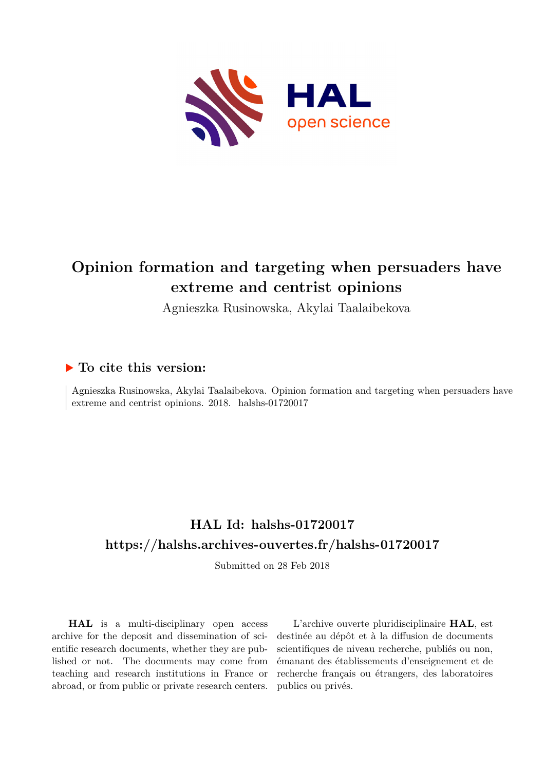

# **Opinion formation and targeting when persuaders have extreme and centrist opinions**

Agnieszka Rusinowska, Akylai Taalaibekova

# **To cite this version:**

Agnieszka Rusinowska, Akylai Taalaibekova. Opinion formation and targeting when persuaders have extreme and centrist opinions. 2018. halshs-01720017

# **HAL Id: halshs-01720017 <https://halshs.archives-ouvertes.fr/halshs-01720017>**

Submitted on 28 Feb 2018

**HAL** is a multi-disciplinary open access archive for the deposit and dissemination of scientific research documents, whether they are published or not. The documents may come from teaching and research institutions in France or abroad, or from public or private research centers.

L'archive ouverte pluridisciplinaire **HAL**, est destinée au dépôt et à la diffusion de documents scientifiques de niveau recherche, publiés ou non, émanant des établissements d'enseignement et de recherche français ou étrangers, des laboratoires publics ou privés.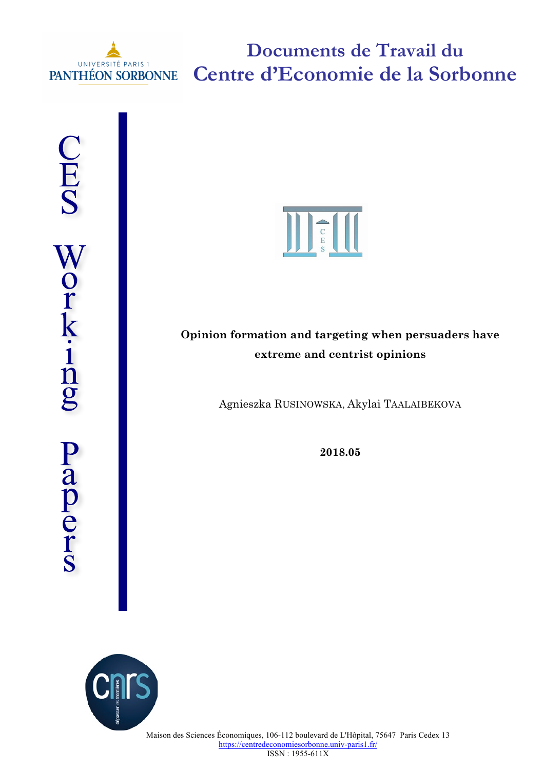

**Documents de Travail du Centre d'Economie de la Sorbonne**



# **Opinion formation and targeting when persuaders have extreme and centrist opinions**

Agnieszka RUSINOWSKA, Akylai TAALAIBEKOVA

**2018.05**

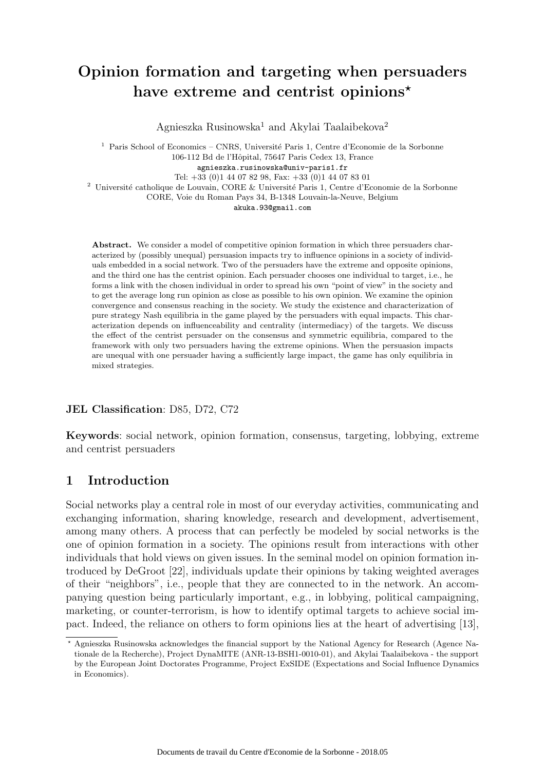# Opinion formation and targeting when persuaders have extreme and centrist opinions\*

Agnieszka Rusinowska<sup>1</sup> and Akylai Taalaibekova<sup>2</sup>

 $^{\rm 1}$  Paris School of Economics – CNRS, Université Paris 1, Centre d'Economie de la Sorbonne 106-112 Bd de l'Hˆopital, 75647 Paris Cedex 13, France agnieszka.rusinowska@univ-paris1.fr Tel: +33 (0)1 44 07 82 98, Fax: +33 (0)1 44 07 83 01

 $^2$ Université catholique de Louvain, CORE & Université Paris 1, Centre d'Economie de la Sorbonne

CORE, Voie du Roman Pays 34, B-1348 Louvain-la-Neuve, Belgium

akuka.93@gmail.com

Abstract. We consider a model of competitive opinion formation in which three persuaders characterized by (possibly unequal) persuasion impacts try to influence opinions in a society of individuals embedded in a social network. Two of the persuaders have the extreme and opposite opinions, and the third one has the centrist opinion. Each persuader chooses one individual to target, i.e., he forms a link with the chosen individual in order to spread his own "point of view" in the society and to get the average long run opinion as close as possible to his own opinion. We examine the opinion convergence and consensus reaching in the society. We study the existence and characterization of pure strategy Nash equilibria in the game played by the persuaders with equal impacts. This characterization depends on influenceability and centrality (intermediacy) of the targets. We discuss the effect of the centrist persuader on the consensus and symmetric equilibria, compared to the framework with only two persuaders having the extreme opinions. When the persuasion impacts are unequal with one persuader having a sufficiently large impact, the game has only equilibria in mixed strategies.

## JEL Classification: D85, D72, C72

Keywords: social network, opinion formation, consensus, targeting, lobbying, extreme and centrist persuaders

# 1 Introduction

Social networks play a central role in most of our everyday activities, communicating and exchanging information, sharing knowledge, research and development, advertisement, among many others. A process that can perfectly be modeled by social networks is the one of opinion formation in a society. The opinions result from interactions with other individuals that hold views on given issues. In the seminal model on opinion formation introduced by DeGroot [22], individuals update their opinions by taking weighted averages of their "neighbors", i.e., people that they are connected to in the network. An accompanying question being particularly important, e.g., in lobbying, political campaigning, marketing, or counter-terrorism, is how to identify optimal targets to achieve social impact. Indeed, the reliance on others to form opinions lies at the heart of advertising [13],

<sup>?</sup> Agnieszka Rusinowska acknowledges the financial support by the National Agency for Research (Agence Nationale de la Recherche), Project DynaMITE (ANR-13-BSH1-0010-01), and Akylai Taalaibekova - the support by the European Joint Doctorates Programme, Project ExSIDE (Expectations and Social Influence Dynamics in Economics).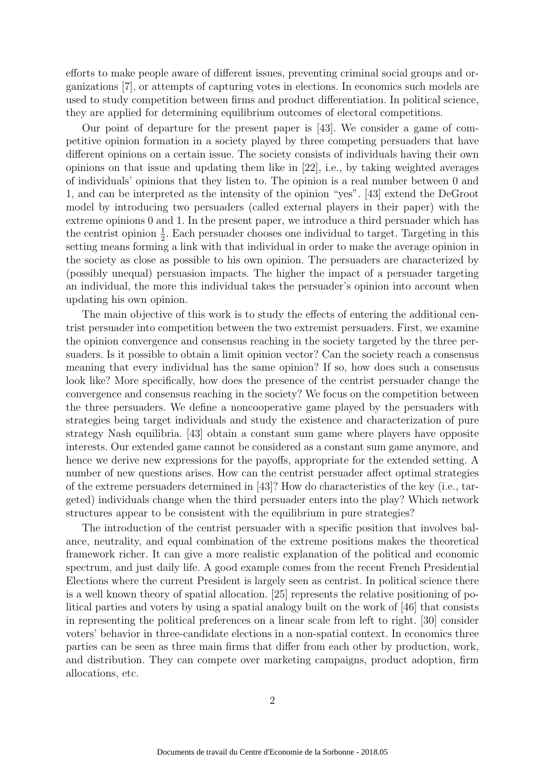efforts to make people aware of different issues, preventing criminal social groups and organizations [7], or attempts of capturing votes in elections. In economics such models are used to study competition between firms and product differentiation. In political science, they are applied for determining equilibrium outcomes of electoral competitions.

Our point of departure for the present paper is [43]. We consider a game of competitive opinion formation in a society played by three competing persuaders that have different opinions on a certain issue. The society consists of individuals having their own opinions on that issue and updating them like in [22], i.e., by taking weighted averages of individuals' opinions that they listen to. The opinion is a real number between 0 and 1, and can be interpreted as the intensity of the opinion "yes". [43] extend the DeGroot model by introducing two persuaders (called external players in their paper) with the extreme opinions 0 and 1. In the present paper, we introduce a third persuader which has the centrist opinion  $\frac{1}{2}$ . Each persuader chooses one individual to target. Targeting in this setting means forming a link with that individual in order to make the average opinion in the society as close as possible to his own opinion. The persuaders are characterized by (possibly unequal) persuasion impacts. The higher the impact of a persuader targeting an individual, the more this individual takes the persuader's opinion into account when updating his own opinion.

The main objective of this work is to study the effects of entering the additional centrist persuader into competition between the two extremist persuaders. First, we examine the opinion convergence and consensus reaching in the society targeted by the three persuaders. Is it possible to obtain a limit opinion vector? Can the society reach a consensus meaning that every individual has the same opinion? If so, how does such a consensus look like? More specifically, how does the presence of the centrist persuader change the convergence and consensus reaching in the society? We focus on the competition between the three persuaders. We define a noncooperative game played by the persuaders with strategies being target individuals and study the existence and characterization of pure strategy Nash equilibria. [43] obtain a constant sum game where players have opposite interests. Our extended game cannot be considered as a constant sum game anymore, and hence we derive new expressions for the payoffs, appropriate for the extended setting. A number of new questions arises. How can the centrist persuader affect optimal strategies of the extreme persuaders determined in [43]? How do characteristics of the key (i.e., targeted) individuals change when the third persuader enters into the play? Which network structures appear to be consistent with the equilibrium in pure strategies?

The introduction of the centrist persuader with a specific position that involves balance, neutrality, and equal combination of the extreme positions makes the theoretical framework richer. It can give a more realistic explanation of the political and economic spectrum, and just daily life. A good example comes from the recent French Presidential Elections where the current President is largely seen as centrist. In political science there is a well known theory of spatial allocation. [25] represents the relative positioning of political parties and voters by using a spatial analogy built on the work of [46] that consists in representing the political preferences on a linear scale from left to right. [30] consider voters' behavior in three-candidate elections in a non-spatial context. In economics three parties can be seen as three main firms that differ from each other by production, work, and distribution. They can compete over marketing campaigns, product adoption, firm allocations, etc.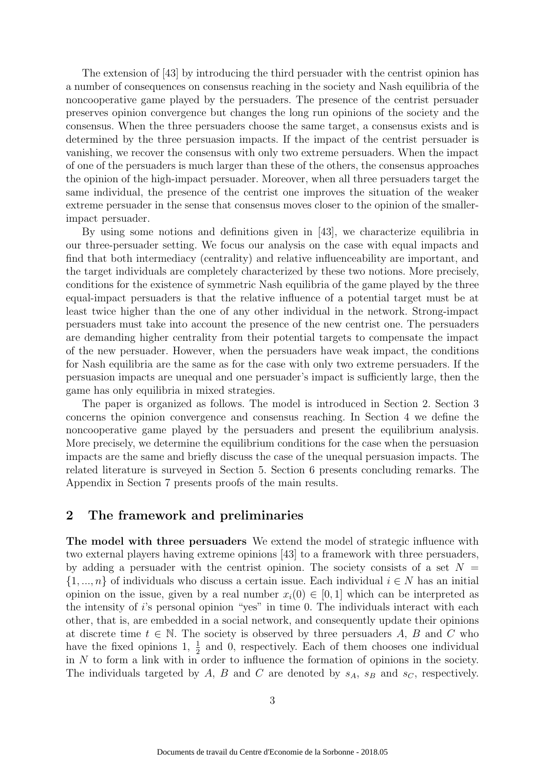The extension of [43] by introducing the third persuader with the centrist opinion has a number of consequences on consensus reaching in the society and Nash equilibria of the noncooperative game played by the persuaders. The presence of the centrist persuader preserves opinion convergence but changes the long run opinions of the society and the consensus. When the three persuaders choose the same target, a consensus exists and is determined by the three persuasion impacts. If the impact of the centrist persuader is vanishing, we recover the consensus with only two extreme persuaders. When the impact of one of the persuaders is much larger than these of the others, the consensus approaches the opinion of the high-impact persuader. Moreover, when all three persuaders target the same individual, the presence of the centrist one improves the situation of the weaker extreme persuader in the sense that consensus moves closer to the opinion of the smallerimpact persuader.

By using some notions and definitions given in [43], we characterize equilibria in our three-persuader setting. We focus our analysis on the case with equal impacts and find that both intermediacy (centrality) and relative influenceability are important, and the target individuals are completely characterized by these two notions. More precisely, conditions for the existence of symmetric Nash equilibria of the game played by the three equal-impact persuaders is that the relative influence of a potential target must be at least twice higher than the one of any other individual in the network. Strong-impact persuaders must take into account the presence of the new centrist one. The persuaders are demanding higher centrality from their potential targets to compensate the impact of the new persuader. However, when the persuaders have weak impact, the conditions for Nash equilibria are the same as for the case with only two extreme persuaders. If the persuasion impacts are unequal and one persuader's impact is sufficiently large, then the game has only equilibria in mixed strategies.

The paper is organized as follows. The model is introduced in Section 2. Section 3 concerns the opinion convergence and consensus reaching. In Section 4 we define the noncooperative game played by the persuaders and present the equilibrium analysis. More precisely, we determine the equilibrium conditions for the case when the persuasion impacts are the same and briefly discuss the case of the unequal persuasion impacts. The related literature is surveyed in Section 5. Section 6 presents concluding remarks. The Appendix in Section 7 presents proofs of the main results.

## 2 The framework and preliminaries

The model with three persuaders We extend the model of strategic influence with two external players having extreme opinions [43] to a framework with three persuaders, by adding a persuader with the centrist opinion. The society consists of a set  $N =$  $\{1, ..., n\}$  of individuals who discuss a certain issue. Each individual  $i \in N$  has an initial opinion on the issue, given by a real number  $x_i(0) \in [0,1]$  which can be interpreted as the intensity of i's personal opinion "yes" in time 0. The individuals interact with each other, that is, are embedded in a social network, and consequently update their opinions at discrete time  $t \in \mathbb{N}$ . The society is observed by three persuaders A, B and C who have the fixed opinions 1,  $\frac{1}{2}$  and 0, respectively. Each of them chooses one individual in N to form a link with in order to influence the formation of opinions in the society. The individuals targeted by A, B and C are denoted by  $s_A$ ,  $s_B$  and  $s_C$ , respectively.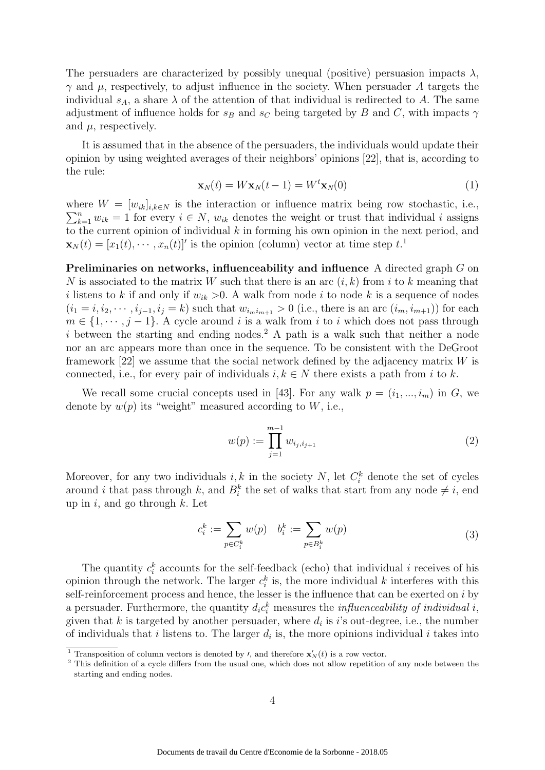The persuaders are characterized by possibly unequal (positive) persuasion impacts  $\lambda$ ,  $γ$  and  $μ$ , respectively, to adjust influence in the society. When persuader A targets the individual  $s_A$ , a share  $\lambda$  of the attention of that individual is redirected to A. The same adjustment of influence holds for  $s_B$  and  $s_C$  being targeted by B and C, with impacts  $\gamma$ and  $\mu$ , respectively.

It is assumed that in the absence of the persuaders, the individuals would update their opinion by using weighted averages of their neighbors' opinions [22], that is, according to the rule:

$$
\mathbf{x}_N(t) = W \mathbf{x}_N(t-1) = W^t \mathbf{x}_N(0)
$$
\n(1)

where  $W = [w_{ik}]_{i,k \in N}$  is the interaction or influence matrix being row stochastic, i.e.,  $\sum_{k=1}^{n} w_{ik} = 1$  for every  $i \in N$ ,  $w_{ik}$  denotes the weight or trust that individual i assigns to the current opinion of individual  $k$  in forming his own opinion in the next period, and  $\mathbf{x}_N(t) = [x_1(t), \cdots, x_n(t)]'$  is the opinion (column) vector at time step  $t$ <sup>1</sup>

Preliminaries on networks, influenceability and influence A directed graph G on N is associated to the matrix W such that there is an arc  $(i, k)$  from i to k meaning that i listens to k if and only if  $w_{ik} > 0$ . A walk from node i to node k is a sequence of nodes  $(i_1 = i, i_2, \dots, i_{j-1}, i_j = k)$  such that  $w_{i_m i_{m+1}} > 0$  (i.e., there is an arc  $(i_m, i_{m+1})$ ) for each  $m \in \{1, \dots, j-1\}$ . A cycle around i is a walk from i to i which does not pass through i between the starting and ending nodes.<sup>2</sup> A path is a walk such that neither a node nor an arc appears more than once in the sequence. To be consistent with the DeGroot framework [22] we assume that the social network defined by the adjacency matrix W is connected, i.e., for every pair of individuals  $i, k \in N$  there exists a path from i to k.

We recall some crucial concepts used in [43]. For any walk  $p = (i_1, ..., i_m)$  in G, we denote by  $w(p)$  its "weight" measured according to W, i.e.,

$$
w(p) := \prod_{j=1}^{m-1} w_{i_j, i_{j+1}} \tag{2}
$$

Moreover, for any two individuals  $i, k$  in the society N, let  $C_i^k$  denote the set of cycles around *i* that pass through k, and  $B_i^k$  the set of walks that start from any node  $\neq i$ , end up in i, and go through  $k$ . Let

$$
c_i^k := \sum_{p \in C_i^k} w(p) \quad b_i^k := \sum_{p \in B_i^k} w(p) \tag{3}
$$

The quantity  $c_i^k$  accounts for the self-feedback (echo) that individual i receives of his opinion through the network. The larger  $c_i^k$  is, the more individual k interferes with this self-reinforcement process and hence, the lesser is the influence that can be exerted on i by a persuader. Furthermore, the quantity  $d_i c_i^k$  measures the *influenceability of individual i*, given that k is targeted by another persuader, where  $d_i$  is i's out-degree, i.e., the number of individuals that i listens to. The larger  $d_i$  is, the more opinions individual i takes into

<sup>&</sup>lt;sup>1</sup> Transposition of column vectors is denoted by *t*, and therefore  $\mathbf{x}'_N(t)$  is a row vector.

<sup>&</sup>lt;sup>2</sup> This definition of a cycle differs from the usual one, which does not allow repetition of any node between the starting and ending nodes.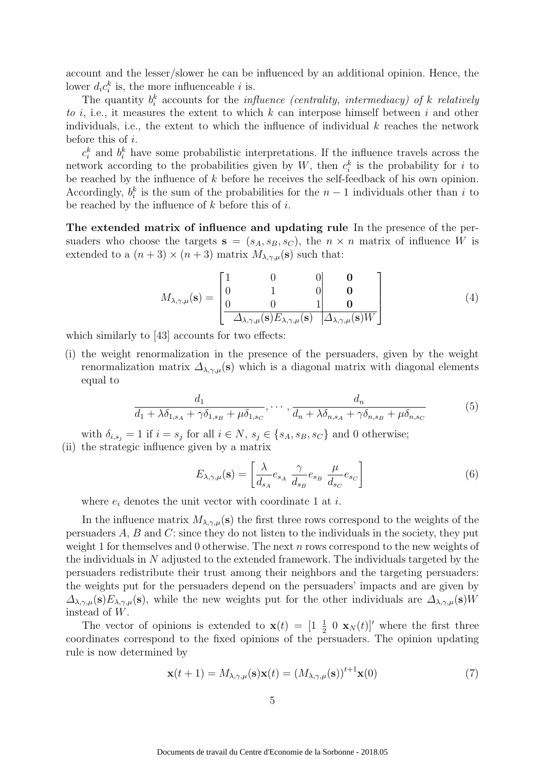account and the lesser/slower he can be influenced by an additional opinion. Hence, the lower  $d_i c_i^k$  is, the more influenceable *i* is.

The quantity  $b_i^k$  accounts for the *influence (centrality, intermediacy)* of k relatively to  $i$ , i.e., it measures the extent to which  $k$  can interpose himself between  $i$  and other individuals, i.e., the extent to which the influence of individual  $k$  reaches the network before this of i.

 $c_i^k$  and  $b_i^k$  have some probabilistic interpretations. If the influence travels across the network according to the probabilities given by W, then  $c_i^k$  is the probability for i to be reached by the influence of  $k$  before he receives the self-feedback of his own opinion. Accordingly,  $b_i^k$  is the sum of the probabilities for the  $n-1$  individuals other than i to be reached by the influence of  $k$  before this of  $i$ .

The extended matrix of influence and updating rule In the presence of the persuaders who choose the targets  $s = (s_A, s_B, s_C)$ , the  $n \times n$  matrix of influence W is extended to a  $(n+3) \times (n+3)$  matrix  $M_{\lambda, \gamma, \mu}(\mathbf{s})$  such that:

$$
M_{\lambda,\gamma,\mu}(\mathbf{s}) = \begin{bmatrix} 1 & 0 & 0 & \mathbf{0} \\ 0 & 1 & 0 & \mathbf{0} \\ 0 & 0 & 1 & \mathbf{0} \\ \hline \Delta_{\lambda,\gamma,\mu}(\mathbf{s}) E_{\lambda,\gamma,\mu}(\mathbf{s}) & \Delta_{\lambda,\gamma,\mu}(\mathbf{s}) W \end{bmatrix}
$$
(4)

which similarly to [43] accounts for two effects:

(i) the weight renormalization in the presence of the persuaders, given by the weight renormalization matrix  $\Delta_{\lambda,\gamma,\mu}(\mathbf{s})$  which is a diagonal matrix with diagonal elements equal to

$$
\frac{d_1}{d_1 + \lambda \delta_{1,s_A} + \gamma \delta_{1,s_B} + \mu \delta_{1,s_C}}, \cdots, \frac{d_n}{d_n + \lambda \delta_{n,s_A} + \gamma \delta_{n,s_B} + \mu \delta_{n,s_C}}
$$
(5)

with  $\delta_{i,s_j} = 1$  if  $i = s_j$  for all  $i \in N$ ,  $s_j \in \{s_A, s_B, s_C\}$  and 0 otherwise;

(ii) the strategic influence given by a matrix

$$
E_{\lambda,\gamma,\mu}(\mathbf{s}) = \left[\frac{\lambda}{d_{s_A}}e_{s_A} \frac{\gamma}{d_{s_B}}e_{s_B} \frac{\mu}{d_{s_C}}e_{s_C}\right]
$$
(6)

where  $e_i$  denotes the unit vector with coordinate 1 at *i*.

In the influence matrix  $M_{\lambda,\gamma,\mu}(\mathbf{s})$  the first three rows correspond to the weights of the persuaders A, B and C: since they do not listen to the individuals in the society, they put weight 1 for themselves and 0 otherwise. The next n rows correspond to the new weights of the individuals in N adjusted to the extended framework. The individuals targeted by the persuaders redistribute their trust among their neighbors and the targeting persuaders: the weights put for the persuaders depend on the persuaders' impacts and are given by  $\Delta_{\lambda,\gamma,\mu}(s)E_{\lambda,\gamma,\mu}(s)$ , while the new weights put for the other individuals are  $\Delta_{\lambda,\gamma,\mu}(s)W$ instead of W.

The vector of opinions is extended to  $\mathbf{x}(t) = \begin{bmatrix} 1 & \frac{1}{2} & 0 \\ 0 & \mathbf{x}_N(t) \end{bmatrix}$  where the first three coordinates correspond to the fixed opinions of the persuaders. The opinion updating rule is now determined by

$$
\mathbf{x}(t+1) = M_{\lambda,\gamma,\mu}(\mathbf{s})\mathbf{x}(t) = (M_{\lambda,\gamma,\mu}(\mathbf{s}))^{t+1}\mathbf{x}(0)
$$
\n(7)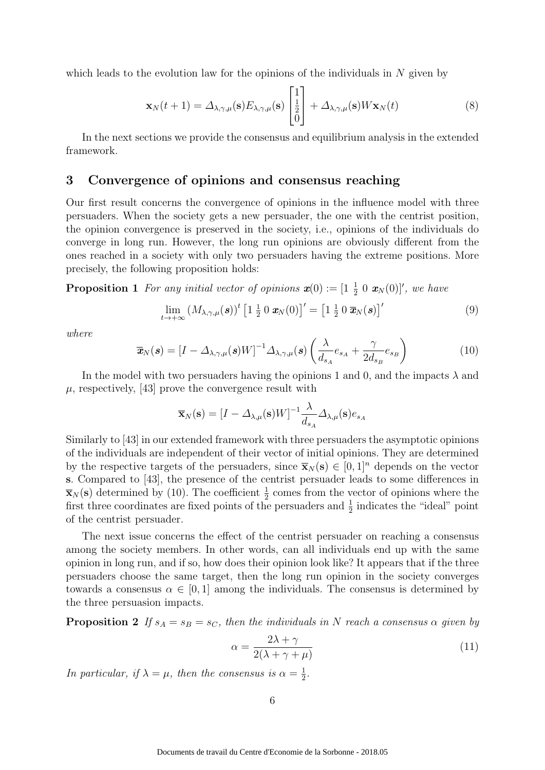which leads to the evolution law for the opinions of the individuals in  $N$  given by

$$
\mathbf{x}_{N}(t+1) = \Delta_{\lambda,\gamma,\mu}(\mathbf{s}) E_{\lambda,\gamma,\mu}(\mathbf{s}) \begin{bmatrix} 1\\ \frac{1}{2} \\ 0 \end{bmatrix} + \Delta_{\lambda,\gamma,\mu}(\mathbf{s}) W \mathbf{x}_{N}(t) \tag{8}
$$

In the next sections we provide the consensus and equilibrium analysis in the extended framework.

#### 3 Convergence of opinions and consensus reaching

Our first result concerns the convergence of opinions in the influence model with three persuaders. When the society gets a new persuader, the one with the centrist position, the opinion convergence is preserved in the society, i.e., opinions of the individuals do converge in long run. However, the long run opinions are obviously different from the ones reached in a society with only two persuaders having the extreme positions. More precisely, the following proposition holds:

**Proposition 1** For any initial vector of opinions  $\mathbf{x}(0) := \begin{bmatrix} 1 & \frac{1}{2} & 0 \\ 0 & \mathbf{x}_N(0) \end{bmatrix}$ , we have

$$
\lim_{t\to+\infty} \left(M_{\lambda,\gamma,\mu}(s)\right)^t \left[1\,\frac{1}{2}\,0\,\mathbf{x}_N(0)\right]' = \left[1\,\frac{1}{2}\,0\,\overline{\mathbf{x}}_N(s)\right]'
$$
\n(9)

where

$$
\overline{\boldsymbol{x}}_{N}(\boldsymbol{s}) = \left[I - \Delta_{\lambda,\gamma,\mu}(\boldsymbol{s})W\right]^{-1} \Delta_{\lambda,\gamma,\mu}(\boldsymbol{s}) \left(\frac{\lambda}{d_{s_A}} e_{s_A} + \frac{\gamma}{2d_{s_B}} e_{s_B}\right) \tag{10}
$$

In the model with two persuaders having the opinions 1 and 0, and the impacts  $\lambda$  and  $\mu$ , respectively, [43] prove the convergence result with

$$
\overline{\mathbf{x}}_{N}(\mathbf{s}) = [I - \Delta_{\lambda,\mu}(\mathbf{s})W]^{-1} \frac{\lambda}{d_{s_A}} \Delta_{\lambda,\mu}(\mathbf{s}) e_{s_A}
$$

Similarly to [43] in our extended framework with three persuaders the asymptotic opinions of the individuals are independent of their vector of initial opinions. They are determined by the respective targets of the persuaders, since  $\bar{\mathbf{x}}_N(\mathbf{s}) \in [0, 1]^n$  depends on the vector s. Compared to [43], the presence of the centrist persuader leads to some differences in  $\bar{\mathbf{x}}_N(\mathbf{s})$  determined by (10). The coefficient  $\frac{1}{2}$  comes from the vector of opinions where the first three coordinates are fixed points of the persuaders and  $\frac{1}{2}$  indicates the "ideal" point of the centrist persuader.

The next issue concerns the effect of the centrist persuader on reaching a consensus among the society members. In other words, can all individuals end up with the same opinion in long run, and if so, how does their opinion look like? It appears that if the three persuaders choose the same target, then the long run opinion in the society converges towards a consensus  $\alpha \in [0, 1]$  among the individuals. The consensus is determined by the three persuasion impacts.

**Proposition 2** If  $s_A = s_B = s_C$ , then the individuals in N reach a consensus  $\alpha$  given by

$$
\alpha = \frac{2\lambda + \gamma}{2(\lambda + \gamma + \mu)}\tag{11}
$$

In particular, if  $\lambda = \mu$ , then the consensus is  $\alpha = \frac{1}{2}$  $\frac{1}{2}$ .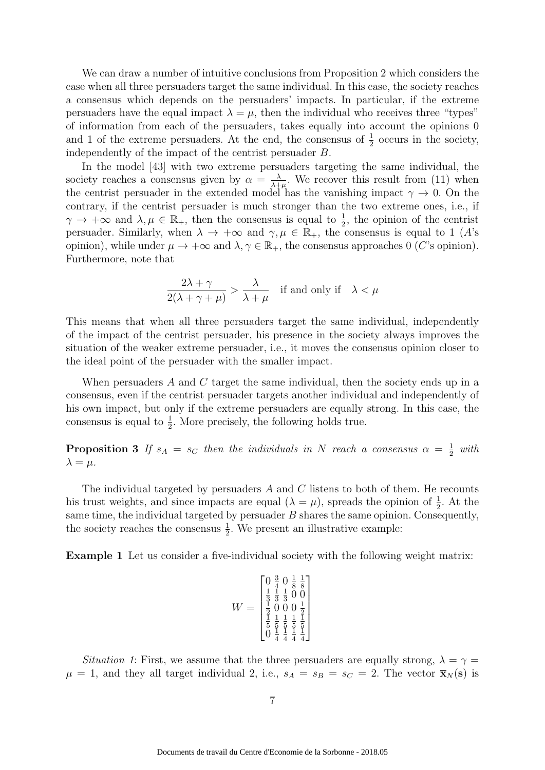We can draw a number of intuitive conclusions from Proposition 2 which considers the case when all three persuaders target the same individual. In this case, the society reaches a consensus which depends on the persuaders' impacts. In particular, if the extreme persuaders have the equal impact  $\lambda = \mu$ , then the individual who receives three "types" of information from each of the persuaders, takes equally into account the opinions 0 and 1 of the extreme persuaders. At the end, the consensus of  $\frac{1}{2}$  occurs in the society, independently of the impact of the centrist persuader B.

In the model [43] with two extreme persuaders targeting the same individual, the society reaches a consensus given by  $\alpha = \frac{\lambda}{\lambda + \alpha}$  $\frac{\lambda}{\lambda+\mu}$ . We recover this result from (11) when the centrist persuader in the extended model has the vanishing impact  $\gamma \to 0$ . On the contrary, if the centrist persuader is much stronger than the two extreme ones, i.e., if  $\gamma \to +\infty$  and  $\lambda, \mu \in \mathbb{R}_+$ , then the consensus is equal to  $\frac{1}{2}$ , the opinion of the centrist persuader. Similarly, when  $\lambda \to +\infty$  and  $\gamma, \mu \in \mathbb{R}_+$ , the consensus is equal to 1 (A's opinion), while under  $\mu \to +\infty$  and  $\lambda, \gamma \in \mathbb{R}_+$ , the consensus approaches 0 (C's opinion). Furthermore, note that

$$
\frac{2\lambda + \gamma}{2(\lambda + \gamma + \mu)} > \frac{\lambda}{\lambda + \mu} \quad \text{if and only if} \quad \lambda < \mu
$$

This means that when all three persuaders target the same individual, independently of the impact of the centrist persuader, his presence in the society always improves the situation of the weaker extreme persuader, i.e., it moves the consensus opinion closer to the ideal point of the persuader with the smaller impact.

When persuaders A and C target the same individual, then the society ends up in a consensus, even if the centrist persuader targets another individual and independently of his own impact, but only if the extreme persuaders are equally strong. In this case, the consensus is equal to  $\frac{1}{2}$ . More precisely, the following holds true.

**Proposition 3** If  $s_A = s_C$  then the individuals in N reach a consensus  $\alpha = \frac{1}{2}$  $rac{1}{2}$  with  $\lambda = \mu.$ 

The individual targeted by persuaders A and C listens to both of them. He recounts his trust weights, and since impacts are equal  $(\lambda = \mu)$ , spreads the opinion of  $\frac{1}{2}$ . At the same time, the individual targeted by persuader  $B$  shares the same opinion. Consequently, the society reaches the consensus  $\frac{1}{2}$ . We present an illustrative example:

Example 1 Let us consider a five-individual society with the following weight matrix:

$$
W = \begin{bmatrix} 0 & \frac{3}{4} & 0 & \frac{1}{8} & \frac{1}{8} \\ \frac{1}{3} & \frac{1}{3} & \frac{1}{3} & 0 & 0 \\ \frac{1}{2} & 0 & 0 & 0 & \frac{1}{2} \\ \frac{1}{2} & \frac{1}{5} & \frac{1}{5} & \frac{1}{5} & \frac{1}{5} \\ 0 & \frac{1}{4} & \frac{1}{4} & \frac{1}{4} & \frac{1}{4} \end{bmatrix}
$$

Situation 1: First, we assume that the three persuaders are equally strong,  $\lambda = \gamma =$  $\mu = 1$ , and they all target individual 2, i.e.,  $s_A = s_B = s_C = 2$ . The vector  $\bar{\mathbf{x}}_N(\mathbf{s})$  is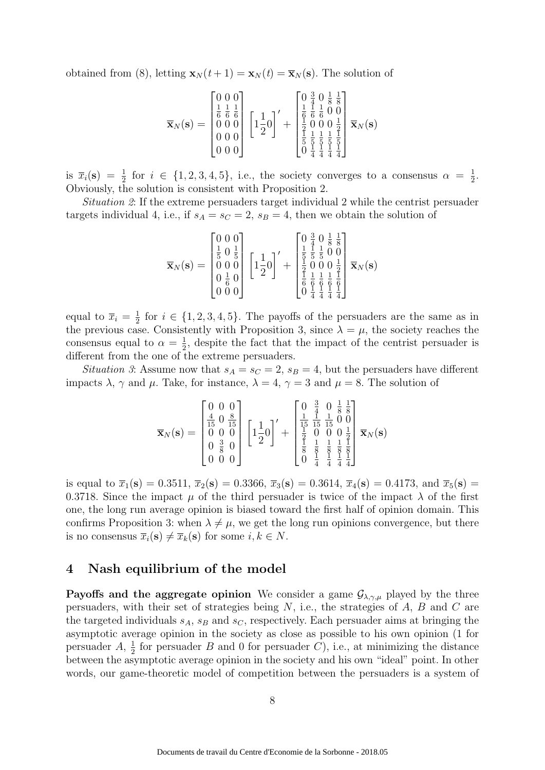obtained from (8), letting  $\mathbf{x}_N (t+1) = \mathbf{x}_N (t) = \overline{\mathbf{x}}_N (\mathbf{s})$ . The solution of

$$
\overline{\mathbf{x}}_{N}(\mathbf{s}) = \begin{bmatrix} 0 & 0 & 0 \\ \frac{1}{6} & \frac{1}{6} & \frac{1}{6} \\ 0 & 0 & 0 \\ 0 & 0 & 0 \\ 0 & 0 & 0 \end{bmatrix} \begin{bmatrix} 1 & 1 & 0 \\ 1 & \frac{1}{2} & 0 \end{bmatrix}' + \begin{bmatrix} 0 & \frac{3}{4} & 0 & \frac{1}{8} & \frac{1}{8} \\ \frac{1}{6} & \frac{1}{6} & \frac{1}{6} & 0 & 0 \\ \frac{1}{2} & 0 & 0 & 0 & \frac{1}{2} \\ \frac{1}{5} & \frac{1}{5} & \frac{1}{5} & \frac{1}{5} & \frac{1}{5} \\ 0 & \frac{1}{4} & \frac{1}{4} & \frac{1}{4} & \frac{1}{4} \end{bmatrix} \overline{\mathbf{x}}_{N}(\mathbf{s})
$$

is  $\bar{x}_i(\mathbf{s}) = \frac{1}{2}$  for  $i \in \{1, 2, 3, 4, 5\}$ , i.e., the society converges to a consensus  $\alpha = \frac{1}{2}$  $\frac{1}{2}$ . Obviously, the solution is consistent with Proposition 2.

Situation 2: If the extreme persuaders target individual 2 while the centrist persuader targets individual 4, i.e., if  $s_A = s_C = 2$ ,  $s_B = 4$ , then we obtain the solution of

$$
\overline{\mathbf{x}}_N(\mathbf{s}) = \begin{bmatrix} 0 & 0 & 0 \\ \frac{1}{5} & 0 & \frac{1}{5} \\ 0 & 0 & 0 \\ 0 & \frac{1}{6} & 0 \\ 0 & 0 & 0 \end{bmatrix} \left[ 1\frac{1}{2}0 \right]' + \begin{bmatrix} 0 & \frac{3}{4} & 0 & \frac{1}{8} & \frac{1}{8} \\ \frac{1}{5} & \frac{1}{5} & \frac{1}{5} & 0 & 0 \\ \frac{1}{5} & 0 & 0 & 0 & \frac{1}{2} \\ \frac{1}{6} & \frac{1}{6} & \frac{1}{6} & \frac{1}{6} & \frac{1}{6} \\ 0 & \frac{1}{4} & \frac{1}{4} & \frac{1}{4} & \frac{1}{4} \end{bmatrix} \overline{\mathbf{x}}_N(\mathbf{s})
$$

equal to  $\overline{x}_i = \frac{1}{2}$  $\frac{1}{2}$  for  $i \in \{1, 2, 3, 4, 5\}$ . The payoffs of the persuaders are the same as in the previous case. Consistently with Proposition 3, since  $\lambda = \mu$ , the society reaches the consensus equal to  $\alpha = \frac{1}{2}$  $\frac{1}{2}$ , despite the fact that the impact of the centrist persuader is different from the one of the extreme persuaders.

*Situation 3*: Assume now that  $s_A = s_C = 2$ ,  $s_B = 4$ , but the persuaders have different impacts  $\lambda$ ,  $\gamma$  and  $\mu$ . Take, for instance,  $\lambda = 4$ ,  $\gamma = 3$  and  $\mu = 8$ . The solution of

$$
\overline{\mathbf{x}}_{N}(\mathbf{s}) = \begin{bmatrix} 0 & 0 & 0 \\ \frac{4}{15} & 0 & \frac{8}{15} \\ 0 & 0 & 0 \\ 0 & \frac{3}{8} & 0 \\ 0 & 0 & 0 \end{bmatrix} \begin{bmatrix} 1 \\ 1 \\ 2 \end{bmatrix}' + \begin{bmatrix} 0 & \frac{3}{4} & 0 & \frac{1}{8} \\ \frac{1}{15} & \frac{1}{15} & \frac{1}{15} & 0 \\ \frac{1}{2} & 0 & 0 & 0 & \frac{1}{2} \\ \frac{1}{8} & \frac{1}{8} & \frac{1}{8} & \frac{1}{8} \\ \frac{1}{8} & \frac{1}{8} & \frac{1}{8} & \frac{1}{8} \\ 0 & \frac{1}{4} & \frac{1}{4} & \frac{1}{4} \end{bmatrix} \overline{\mathbf{x}}_{N}(\mathbf{s})
$$

is equal to  $\bar{x}_1(s) = 0.3511$ ,  $\bar{x}_2(s) = 0.3366$ ,  $\bar{x}_3(s) = 0.3614$ ,  $\bar{x}_4(s) = 0.4173$ , and  $\bar{x}_5(s) =$ 0.3718. Since the impact  $\mu$  of the third persuader is twice of the impact  $\lambda$  of the first one, the long run average opinion is biased toward the first half of opinion domain. This confirms Proposition 3: when  $\lambda \neq \mu$ , we get the long run opinions convergence, but there is no consensus  $\overline{x}_i(\mathbf{s}) \neq \overline{x}_k(\mathbf{s})$  for some  $i, k \in N$ .

### 4 Nash equilibrium of the model

**Payoffs and the aggregate opinion** We consider a game  $\mathcal{G}_{\lambda,\gamma,\mu}$  played by the three persuaders, with their set of strategies being N, i.e., the strategies of A, B and C are the targeted individuals  $s_A$ ,  $s_B$  and  $s_C$ , respectively. Each persuader aims at bringing the asymptotic average opinion in the society as close as possible to his own opinion (1 for persuader  $A, \frac{1}{2}$  $\frac{1}{2}$  for persuader B and 0 for persuader C, i.e., at minimizing the distance between the asymptotic average opinion in the society and his own "ideal" point. In other words, our game-theoretic model of competition between the persuaders is a system of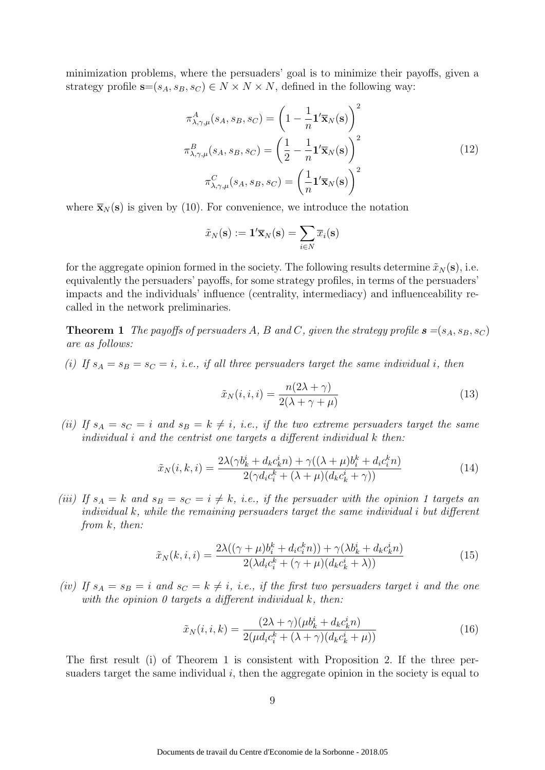minimization problems, where the persuaders' goal is to minimize their payoffs, given a strategy profile  $s=(s_A, s_B, s_C) \in N \times N \times N$ , defined in the following way:

$$
\pi_{\lambda,\gamma,\mu}^{A}(s_A, s_B, s_C) = \left(1 - \frac{1}{n} \mathbf{1}' \overline{\mathbf{x}}_N(\mathbf{s})\right)^2
$$

$$
\pi_{\lambda,\gamma,\mu}^{B}(s_A, s_B, s_C) = \left(\frac{1}{2} - \frac{1}{n} \mathbf{1}' \overline{\mathbf{x}}_N(\mathbf{s})\right)^2
$$

$$
\pi_{\lambda,\gamma,\mu}^{C}(s_A, s_B, s_C) = \left(\frac{1}{n} \mathbf{1}' \overline{\mathbf{x}}_N(\mathbf{s})\right)^2
$$
(12)

where  $\bar{\mathbf{x}}_N(\mathbf{s})$  is given by (10). For convenience, we introduce the notation

$$
\tilde{x}_N(\mathbf{s}) := \mathbf{1}' \overline{\mathbf{x}}_N(\mathbf{s}) = \sum_{i \in N} \overline{x}_i(\mathbf{s})
$$

for the aggregate opinion formed in the society. The following results determine  $\tilde{x}_N(s)$ , i.e. equivalently the persuaders' payoffs, for some strategy profiles, in terms of the persuaders' impacts and the individuals' influence (centrality, intermediacy) and influenceability recalled in the network preliminaries.

**Theorem 1** The payoffs of persuaders A, B and C, given the strategy profile  $s = (s_A, s_B, s_C)$ are as follows:

(i) If  $s_A = s_B = s_C = i$ , i.e., if all three persuaders target the same individual i, then

$$
\tilde{x}_N(i,i,i) = \frac{n(2\lambda + \gamma)}{2(\lambda + \gamma + \mu)}\tag{13}
$$

(ii) If  $s_A = s_C = i$  and  $s_B = k \neq i$ , i.e., if the two extreme persuaders target the same individual i and the centrist one targets a different individual k then:

$$
\tilde{x}_N(i,k,i) = \frac{2\lambda(\gamma b_k^i + d_k c_k^i n) + \gamma((\lambda + \mu)b_i^k + d_i c_i^k n)}{2(\gamma d_i c_i^k + (\lambda + \mu)(d_k c_k^i + \gamma))}
$$
(14)

(iii) If  $s_A = k$  and  $s_B = s_C = i \neq k$ , i.e., if the persuader with the opinion 1 targets an individual k, while the remaining persuaders target the same individual i but different from k, then:

$$
\tilde{x}_N(k, i, i) = \frac{2\lambda((\gamma + \mu)b_i^k + d_i c_i^k n)) + \gamma(\lambda b_k^i + d_k c_k^i n)}{2(\lambda d_i c_i^k + (\gamma + \mu)(d_k c_k^i + \lambda))}
$$
(15)

(iv) If  $s_A = s_B = i$  and  $s_C = k \neq i$ , i.e., if the first two persuaders target i and the one with the opinion  $\theta$  targets a different individual  $k$ , then:

$$
\tilde{x}_N(i, i, k) = \frac{(2\lambda + \gamma)(\mu b_k^i + d_k c_k^i n)}{2(\mu d_i c_i^k + (\lambda + \gamma)(d_k c_k^i + \mu))}
$$
\n(16)

The first result (i) of Theorem 1 is consistent with Proposition 2. If the three persuaders target the same individual  $i$ , then the aggregate opinion in the society is equal to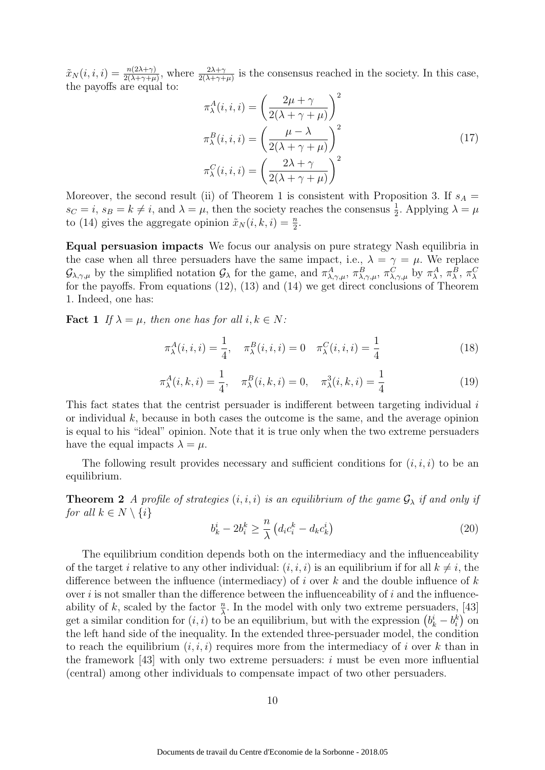$\tilde{x}_N(i, i, i) = \frac{n(2\lambda + \gamma)}{2(\lambda + \gamma + \mu)},$  where  $\frac{2\lambda + \gamma}{2(\lambda + \gamma + \mu)}$  is the consensus reached in the society. In this case, the payoffs are equal to:

$$
\pi_{\lambda}^{A}(i, i, i) = \left(\frac{2\mu + \gamma}{2(\lambda + \gamma + \mu)}\right)^{2}
$$

$$
\pi_{\lambda}^{B}(i, i, i) = \left(\frac{\mu - \lambda}{2(\lambda + \gamma + \mu)}\right)^{2}
$$

$$
\pi_{\lambda}^{C}(i, i, i) = \left(\frac{2\lambda + \gamma}{2(\lambda + \gamma + \mu)}\right)^{2}
$$
(17)

Moreover, the second result (ii) of Theorem 1 is consistent with Proposition 3. If  $s_A =$  $s_C = i$ ,  $s_B = k \neq i$ , and  $\lambda = \mu$ , then the society reaches the consensus  $\frac{1}{2}$ . Applying  $\lambda = \mu$ to (14) gives the aggregate opinion  $\tilde{x}_N(i, k, i) = \frac{n}{2}$ .

Equal persuasion impacts We focus our analysis on pure strategy Nash equilibria in the case when all three persuaders have the same impact, i.e.,  $\lambda = \gamma = \mu$ . We replace  $\mathcal{G}_{\lambda,\gamma,\mu}$  by the simplified notation  $\mathcal{G}_{\lambda}$  for the game, and  $\pi^A_{\lambda,\gamma,\mu}$ ,  $\pi^B_{\lambda,\gamma,\mu}$ ,  $\pi^C_{\lambda,\gamma,\mu}$  by  $\pi^A_{\lambda}$ ,  $\pi^B_{\lambda}$ ,  $\pi^C_{\lambda}$ for the payoffs. From equations  $(12)$ ,  $(13)$  and  $(14)$  we get direct conclusions of Theorem 1. Indeed, one has:

**Fact** 1 If  $\lambda = \mu$ , then one has for all  $i, k \in N$ :

$$
\pi_{\lambda}^{A}(i, i, i) = \frac{1}{4}, \quad \pi_{\lambda}^{B}(i, i, i) = 0 \quad \pi_{\lambda}^{C}(i, i, i) = \frac{1}{4}
$$
\n(18)

$$
\pi_{\lambda}^{A}(i,k,i) = \frac{1}{4}, \quad \pi_{\lambda}^{B}(i,k,i) = 0, \quad \pi_{\lambda}^{3}(i,k,i) = \frac{1}{4}
$$
 (19)

This fact states that the centrist persuader is indifferent between targeting individual  $i$ or individual  $k$ , because in both cases the outcome is the same, and the average opinion is equal to his "ideal" opinion. Note that it is true only when the two extreme persuaders have the equal impacts  $\lambda = \mu$ .

The following result provides necessary and sufficient conditions for  $(i, i, i)$  to be an equilibrium.

**Theorem 2** A profile of strategies  $(i, i, i)$  is an equilibrium of the game  $\mathcal{G}_{\lambda}$  if and only if for all  $k \in N \setminus \{i\}$ 

$$
b_k^i - 2b_i^k \ge \frac{n}{\lambda} \left( d_i c_i^k - d_k c_k^i \right) \tag{20}
$$

The equilibrium condition depends both on the intermediacy and the influenceability of the target i relative to any other individual:  $(i, i, i)$  is an equilibrium if for all  $k \neq i$ , the difference between the influence (intermediacy) of i over  $k$  and the double influence of  $k$ over  $i$  is not smaller than the difference between the influenceability of  $i$  and the influenceability of k, scaled by the factor  $\frac{n}{\lambda}$ . In the model with only two extreme persuaders, [43] get a similar condition for  $(i, i)$  to be an equilibrium, but with the expression  $(b_k^i - b_i^k)$  on the left hand side of the inequality. In the extended three-persuader model, the condition to reach the equilibrium  $(i, i, i)$  requires more from the intermediacy of i over k than in the framework  $[43]$  with only two extreme persuaders: i must be even more influential (central) among other individuals to compensate impact of two other persuaders.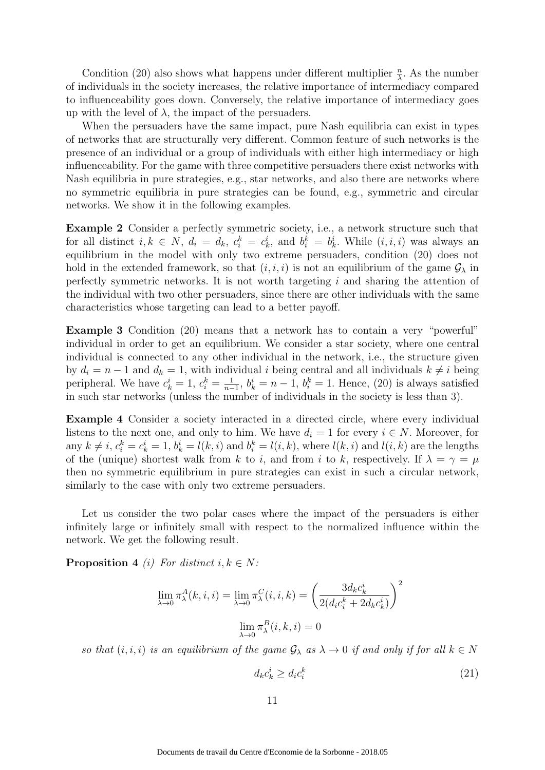Condition (20) also shows what happens under different multiplier  $\frac{n}{\lambda}$ . As the number of individuals in the society increases, the relative importance of intermediacy compared to influenceability goes down. Conversely, the relative importance of intermediacy goes up with the level of  $\lambda$ , the impact of the persuaders.

When the persuaders have the same impact, pure Nash equilibria can exist in types of networks that are structurally very different. Common feature of such networks is the presence of an individual or a group of individuals with either high intermediacy or high influenceability. For the game with three competitive persuaders there exist networks with Nash equilibria in pure strategies, e.g., star networks, and also there are networks where no symmetric equilibria in pure strategies can be found, e.g., symmetric and circular networks. We show it in the following examples.

Example 2 Consider a perfectly symmetric society, i.e., a network structure such that for all distinct  $i, k \in N$ ,  $d_i = d_k$ ,  $c_i^k = c_k^i$ , and  $b_i^k = b_k^i$ . While  $(i, i, i)$  was always an equilibrium in the model with only two extreme persuaders, condition (20) does not hold in the extended framework, so that  $(i, i, i)$  is not an equilibrium of the game  $\mathcal{G}_{\lambda}$  in perfectly symmetric networks. It is not worth targeting  $i$  and sharing the attention of the individual with two other persuaders, since there are other individuals with the same characteristics whose targeting can lead to a better payoff.

Example 3 Condition (20) means that a network has to contain a very "powerful" individual in order to get an equilibrium. We consider a star society, where one central individual is connected to any other individual in the network, i.e., the structure given by  $d_i = n - 1$  and  $d_k = 1$ , with individual i being central and all individuals  $k \neq i$  being peripheral. We have  $c_k^i = 1, c_i^k = \frac{1}{n-1}$  $\frac{1}{n-1}$ ,  $b_k^i = n-1$ ,  $b_i^k = 1$ . Hence, (20) is always satisfied in such star networks (unless the number of individuals in the society is less than 3).

Example 4 Consider a society interacted in a directed circle, where every individual listens to the next one, and only to him. We have  $d_i = 1$  for every  $i \in N$ . Moreover, for any  $k \neq i$ ,  $c_i^k = c_k^i = 1$ ,  $b_k^i = l(k, i)$  and  $b_i^k = l(i, k)$ , where  $l(k, i)$  and  $l(i, k)$  are the lengths of the (unique) shortest walk from k to i, and from i to k, respectively. If  $\lambda = \gamma = \mu$ then no symmetric equilibrium in pure strategies can exist in such a circular network, similarly to the case with only two extreme persuaders.

Let us consider the two polar cases where the impact of the persuaders is either infinitely large or infinitely small with respect to the normalized influence within the network. We get the following result.

**Proposition 4** (i) For distinct  $i, k \in N$ :

$$
\lim_{\lambda \to 0} \pi_{\lambda}^{A}(k, i, i) = \lim_{\lambda \to 0} \pi_{\lambda}^{C}(i, i, k) = \left(\frac{3d_{k}c_{k}^{i}}{2(d_{i}c_{i}^{k} + 2d_{k}c_{k}^{i})}\right)^{2}
$$

$$
\lim_{\lambda \to 0} \pi_{\lambda}^{B}(i, k, i) = 0
$$

so that  $(i, i, i)$  is an equilibrium of the game  $\mathcal{G}_{\lambda}$  as  $\lambda \to 0$  if and only if for all  $k \in \mathbb{N}$ 

$$
d_k c_k^i \ge d_i c_i^k \tag{21}
$$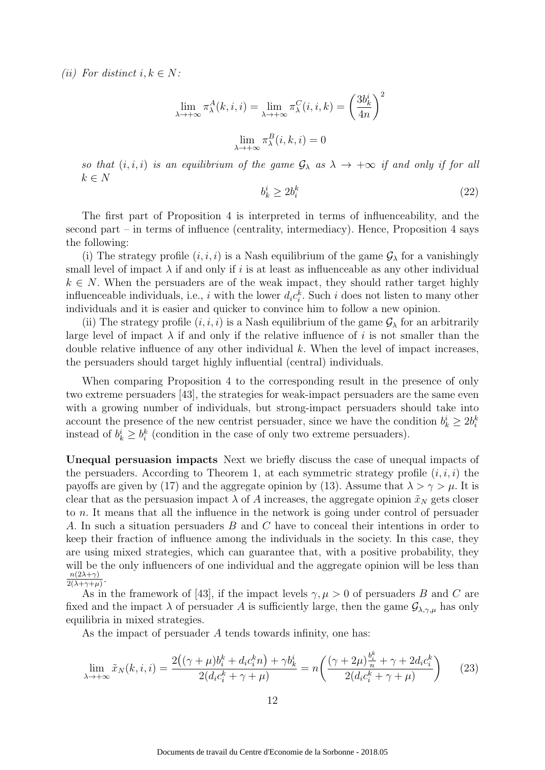(ii) For distinct  $i, k \in N$ :

$$
\lim_{\lambda \to +\infty} \pi_{\lambda}^{A}(k, i, i) = \lim_{\lambda \to +\infty} \pi_{\lambda}^{C}(i, i, k) = \left(\frac{3b_k^{i}}{4n}\right)^{2}
$$

$$
\lim_{\lambda \to +\infty} \pi_{\lambda}^{B}(i, k, i) = 0
$$

so that  $(i, i, i)$  is an equilibrium of the game  $\mathcal{G}_{\lambda}$  as  $\lambda \to +\infty$  if and only if for all  $k \in N$ 

$$
b_k^i \ge 2b_i^k \tag{22}
$$

The first part of Proposition 4 is interpreted in terms of influenceability, and the second part – in terms of influence (centrality, intermediacy). Hence, Proposition 4 says the following:

(i) The strategy profile  $(i, i, i)$  is a Nash equilibrium of the game  $\mathcal{G}_{\lambda}$  for a vanishingly small level of impact  $\lambda$  if and only if i is at least as influenceable as any other individual  $k \in N$ . When the persuaders are of the weak impact, they should rather target highly influenceable individuals, i.e., i with the lower  $d_i c_i^k$ . Such i does not listen to many other individuals and it is easier and quicker to convince him to follow a new opinion.

(ii) The strategy profile  $(i, i, i)$  is a Nash equilibrium of the game  $\mathcal{G}_{\lambda}$  for an arbitrarily large level of impact  $\lambda$  if and only if the relative influence of i is not smaller than the double relative influence of any other individual  $k$ . When the level of impact increases, the persuaders should target highly influential (central) individuals.

When comparing Proposition 4 to the corresponding result in the presence of only two extreme persuaders [43], the strategies for weak-impact persuaders are the same even with a growing number of individuals, but strong-impact persuaders should take into account the presence of the new centrist persuader, since we have the condition  $b_k^i \geq 2b_i^k$ instead of  $b_k^i \geq b_i^k$  (condition in the case of only two extreme persuaders).

Unequal persuasion impacts Next we briefly discuss the case of unequal impacts of the persuaders. According to Theorem 1, at each symmetric strategy profile  $(i, i, i)$  the payoffs are given by (17) and the aggregate opinion by (13). Assume that  $\lambda > \gamma > \mu$ . It is clear that as the persuasion impact  $\lambda$  of A increases, the aggregate opinion  $\tilde{x}_N$  gets closer to n. It means that all the influence in the network is going under control of persuader A. In such a situation persuaders B and C have to conceal their intentions in order to keep their fraction of influence among the individuals in the society. In this case, they are using mixed strategies, which can guarantee that, with a positive probability, they will be the only influencers of one individual and the aggregate opinion will be less than  $n(2\lambda+\gamma)$  $\frac{n(2\lambda+\gamma)}{2(\lambda+\gamma+\mu)}$ .

As in the framework of [43], if the impact levels  $\gamma, \mu > 0$  of persuaders B and C are fixed and the impact  $\lambda$  of persuader A is sufficiently large, then the game  $\mathcal{G}_{\lambda,\gamma,\mu}$  has only equilibria in mixed strategies.

As the impact of persuader A tends towards infinity, one has:

$$
\lim_{\lambda \to +\infty} \tilde{x}_N(k, i, i) = \frac{2\left((\gamma + \mu)b_i^k + d_i c_i^k n\right) + \gamma b_k^i}{2(d_i c_i^k + \gamma + \mu)} = n\left(\frac{(\gamma + 2\mu)\frac{b_i^k}{n} + \gamma + 2d_i c_i^k}{2(d_i c_i^k + \gamma + \mu)}\right) \tag{23}
$$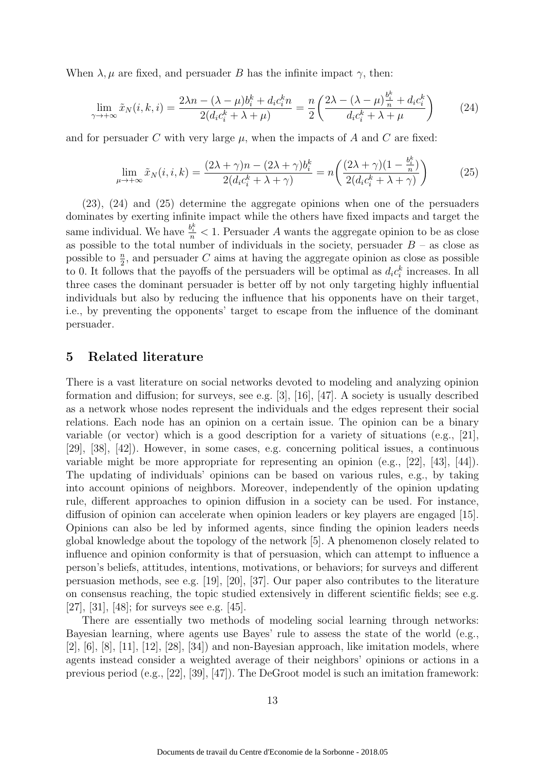When  $\lambda, \mu$  are fixed, and persuader B has the infinite impact  $\gamma$ , then:

$$
\lim_{\gamma \to +\infty} \tilde{x}_N(i,k,i) = \frac{2\lambda n - (\lambda - \mu)b_i^k + d_i c_i^k n}{2(d_i c_i^k + \lambda + \mu)} = \frac{n}{2} \left( \frac{2\lambda - (\lambda - \mu)\frac{b_i^k}{n} + d_i c_i^k}{d_i c_i^k + \lambda + \mu} \right)
$$
(24)

and for persuader C with very large  $\mu$ , when the impacts of A and C are fixed:

$$
\lim_{\mu \to +\infty} \tilde{x}_N(i, i, k) = \frac{(2\lambda + \gamma)n - (2\lambda + \gamma)b_i^k}{2(d_i c_i^k + \lambda + \gamma)} = n\left(\frac{(2\lambda + \gamma)(1 - \frac{b_i^k}{n})}{2(d_i c_i^k + \lambda + \gamma)}\right)
$$
(25)

(23), (24) and (25) determine the aggregate opinions when one of the persuaders dominates by exerting infinite impact while the others have fixed impacts and target the same individual. We have  $\frac{b_i^k}{n} < 1$ . Persuader A wants the aggregate opinion to be as close as possible to the total number of individuals in the society, persuader  $B -$  as close as possible to  $\frac{n}{2}$ , and persuader C aims at having the aggregate opinion as close as possible to 0. It follows that the payoffs of the persuaders will be optimal as  $d_i c_i^k$  increases. In all three cases the dominant persuader is better off by not only targeting highly influential individuals but also by reducing the influence that his opponents have on their target, i.e., by preventing the opponents' target to escape from the influence of the dominant persuader.

### 5 Related literature

There is a vast literature on social networks devoted to modeling and analyzing opinion formation and diffusion; for surveys, see e.g. [3], [16], [47]. A society is usually described as a network whose nodes represent the individuals and the edges represent their social relations. Each node has an opinion on a certain issue. The opinion can be a binary variable (or vector) which is a good description for a variety of situations (e.g., [21], [29], [38], [42]). However, in some cases, e.g. concerning political issues, a continuous variable might be more appropriate for representing an opinion (e.g., [22], [43], [44]). The updating of individuals' opinions can be based on various rules, e.g., by taking into account opinions of neighbors. Moreover, independently of the opinion updating rule, different approaches to opinion diffusion in a society can be used. For instance, diffusion of opinion can accelerate when opinion leaders or key players are engaged [15]. Opinions can also be led by informed agents, since finding the opinion leaders needs global knowledge about the topology of the network [5]. A phenomenon closely related to influence and opinion conformity is that of persuasion, which can attempt to influence a person's beliefs, attitudes, intentions, motivations, or behaviors; for surveys and different persuasion methods, see e.g. [19], [20], [37]. Our paper also contributes to the literature on consensus reaching, the topic studied extensively in different scientific fields; see e.g. [27], [31], [48]; for surveys see e.g. [45].

There are essentially two methods of modeling social learning through networks: Bayesian learning, where agents use Bayes' rule to assess the state of the world (e.g., [2],  $[6]$ ,  $[8]$ ,  $[11]$ ,  $[12]$ ,  $[28]$ ,  $[34]$ ) and non-Bayesian approach, like imitation models, where agents instead consider a weighted average of their neighbors' opinions or actions in a previous period (e.g., [22], [39], [47]). The DeGroot model is such an imitation framework: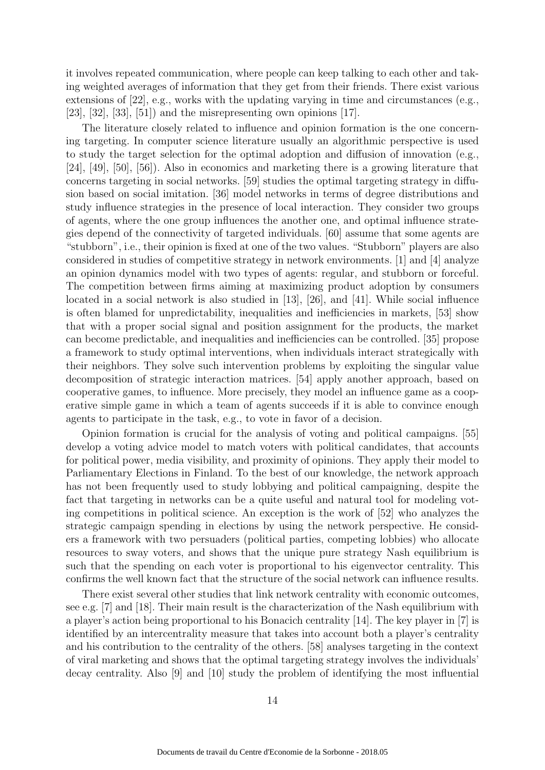it involves repeated communication, where people can keep talking to each other and taking weighted averages of information that they get from their friends. There exist various extensions of [22], e.g., works with the updating varying in time and circumstances (e.g.,  $[23], [32], [33], [51]$  and the misrepresenting own opinions  $[17]$ .

The literature closely related to influence and opinion formation is the one concerning targeting. In computer science literature usually an algorithmic perspective is used to study the target selection for the optimal adoption and diffusion of innovation (e.g., [24], [49], [50], [56]). Also in economics and marketing there is a growing literature that concerns targeting in social networks. [59] studies the optimal targeting strategy in diffusion based on social imitation. [36] model networks in terms of degree distributions and study influence strategies in the presence of local interaction. They consider two groups of agents, where the one group influences the another one, and optimal influence strategies depend of the connectivity of targeted individuals. [60] assume that some agents are "stubborn", i.e., their opinion is fixed at one of the two values. "Stubborn" players are also considered in studies of competitive strategy in network environments. [1] and [4] analyze an opinion dynamics model with two types of agents: regular, and stubborn or forceful. The competition between firms aiming at maximizing product adoption by consumers located in a social network is also studied in [13], [26], and [41]. While social influence is often blamed for unpredictability, inequalities and inefficiencies in markets, [53] show that with a proper social signal and position assignment for the products, the market can become predictable, and inequalities and inefficiencies can be controlled. [35] propose a framework to study optimal interventions, when individuals interact strategically with their neighbors. They solve such intervention problems by exploiting the singular value decomposition of strategic interaction matrices. [54] apply another approach, based on cooperative games, to influence. More precisely, they model an influence game as a cooperative simple game in which a team of agents succeeds if it is able to convince enough agents to participate in the task, e.g., to vote in favor of a decision.

Opinion formation is crucial for the analysis of voting and political campaigns. [55] develop a voting advice model to match voters with political candidates, that accounts for political power, media visibility, and proximity of opinions. They apply their model to Parliamentary Elections in Finland. To the best of our knowledge, the network approach has not been frequently used to study lobbying and political campaigning, despite the fact that targeting in networks can be a quite useful and natural tool for modeling voting competitions in political science. An exception is the work of [52] who analyzes the strategic campaign spending in elections by using the network perspective. He considers a framework with two persuaders (political parties, competing lobbies) who allocate resources to sway voters, and shows that the unique pure strategy Nash equilibrium is such that the spending on each voter is proportional to his eigenvector centrality. This confirms the well known fact that the structure of the social network can influence results.

There exist several other studies that link network centrality with economic outcomes, see e.g. [7] and [18]. Their main result is the characterization of the Nash equilibrium with a player's action being proportional to his Bonacich centrality [14]. The key player in [7] is identified by an intercentrality measure that takes into account both a player's centrality and his contribution to the centrality of the others. [58] analyses targeting in the context of viral marketing and shows that the optimal targeting strategy involves the individuals' decay centrality. Also [9] and [10] study the problem of identifying the most influential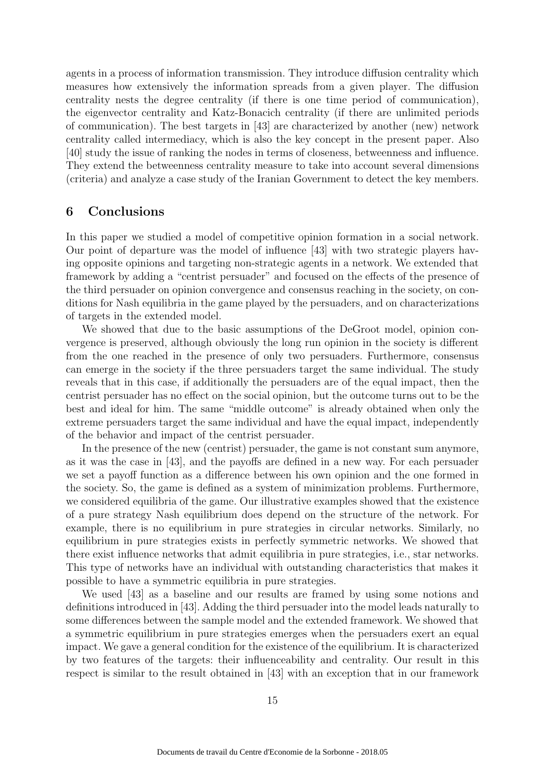agents in a process of information transmission. They introduce diffusion centrality which measures how extensively the information spreads from a given player. The diffusion centrality nests the degree centrality (if there is one time period of communication), the eigenvector centrality and Katz-Bonacich centrality (if there are unlimited periods of communication). The best targets in [43] are characterized by another (new) network centrality called intermediacy, which is also the key concept in the present paper. Also [40] study the issue of ranking the nodes in terms of closeness, betweenness and influence. They extend the betweenness centrality measure to take into account several dimensions (criteria) and analyze a case study of the Iranian Government to detect the key members.

### 6 Conclusions

In this paper we studied a model of competitive opinion formation in a social network. Our point of departure was the model of influence [43] with two strategic players having opposite opinions and targeting non-strategic agents in a network. We extended that framework by adding a "centrist persuader" and focused on the effects of the presence of the third persuader on opinion convergence and consensus reaching in the society, on conditions for Nash equilibria in the game played by the persuaders, and on characterizations of targets in the extended model.

We showed that due to the basic assumptions of the DeGroot model, opinion convergence is preserved, although obviously the long run opinion in the society is different from the one reached in the presence of only two persuaders. Furthermore, consensus can emerge in the society if the three persuaders target the same individual. The study reveals that in this case, if additionally the persuaders are of the equal impact, then the centrist persuader has no effect on the social opinion, but the outcome turns out to be the best and ideal for him. The same "middle outcome" is already obtained when only the extreme persuaders target the same individual and have the equal impact, independently of the behavior and impact of the centrist persuader.

In the presence of the new (centrist) persuader, the game is not constant sum anymore, as it was the case in [43], and the payoffs are defined in a new way. For each persuader we set a payoff function as a difference between his own opinion and the one formed in the society. So, the game is defined as a system of minimization problems. Furthermore, we considered equilibria of the game. Our illustrative examples showed that the existence of a pure strategy Nash equilibrium does depend on the structure of the network. For example, there is no equilibrium in pure strategies in circular networks. Similarly, no equilibrium in pure strategies exists in perfectly symmetric networks. We showed that there exist influence networks that admit equilibria in pure strategies, i.e., star networks. This type of networks have an individual with outstanding characteristics that makes it possible to have a symmetric equilibria in pure strategies.

We used [43] as a baseline and our results are framed by using some notions and definitions introduced in [43]. Adding the third persuader into the model leads naturally to some differences between the sample model and the extended framework. We showed that a symmetric equilibrium in pure strategies emerges when the persuaders exert an equal impact. We gave a general condition for the existence of the equilibrium. It is characterized by two features of the targets: their influenceability and centrality. Our result in this respect is similar to the result obtained in [43] with an exception that in our framework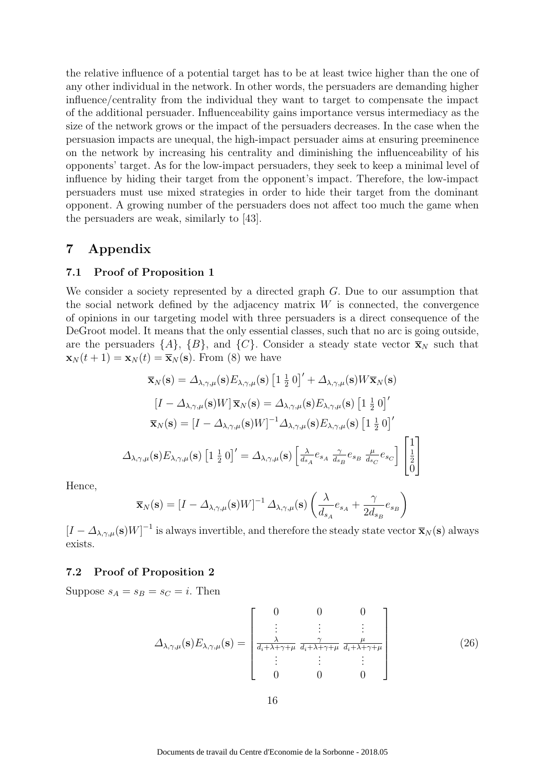the relative influence of a potential target has to be at least twice higher than the one of any other individual in the network. In other words, the persuaders are demanding higher influence/centrality from the individual they want to target to compensate the impact of the additional persuader. Influenceability gains importance versus intermediacy as the size of the network grows or the impact of the persuaders decreases. In the case when the persuasion impacts are unequal, the high-impact persuader aims at ensuring preeminence on the network by increasing his centrality and diminishing the influenceability of his opponents' target. As for the low-impact persuaders, they seek to keep a minimal level of influence by hiding their target from the opponent's impact. Therefore, the low-impact persuaders must use mixed strategies in order to hide their target from the dominant opponent. A growing number of the persuaders does not affect too much the game when the persuaders are weak, similarly to [43].

### 7 Appendix

#### 7.1 Proof of Proposition 1

We consider a society represented by a directed graph G. Due to our assumption that the social network defined by the adjacency matrix  $W$  is connected, the convergence of opinions in our targeting model with three persuaders is a direct consequence of the DeGroot model. It means that the only essential classes, such that no arc is going outside, are the persuaders  $\{A\}$ ,  $\{B\}$ , and  $\{C\}$ . Consider a steady state vector  $\overline{\mathbf{x}}_N$  such that  $\mathbf{x}_N (t + 1) = \mathbf{x}_N (t) = \overline{\mathbf{x}}_N (\mathbf{s})$ . From (8) we have

$$
\overline{\mathbf{x}}_{N}(\mathbf{s}) = \Delta_{\lambda,\gamma,\mu}(\mathbf{s}) E_{\lambda,\gamma,\mu}(\mathbf{s}) \left[1 \frac{1}{2} 0\right]' + \Delta_{\lambda,\gamma,\mu}(\mathbf{s}) W \overline{\mathbf{x}}_{N}(\mathbf{s})
$$

$$
\left[I - \Delta_{\lambda,\gamma,\mu}(\mathbf{s}) W\right] \overline{\mathbf{x}}_{N}(\mathbf{s}) = \Delta_{\lambda,\gamma,\mu}(\mathbf{s}) E_{\lambda,\gamma,\mu}(\mathbf{s}) \left[1 \frac{1}{2} 0\right]'
$$

$$
\overline{\mathbf{x}}_{N}(\mathbf{s}) = \left[I - \Delta_{\lambda,\gamma,\mu}(\mathbf{s}) W\right]^{-1} \Delta_{\lambda,\gamma,\mu}(\mathbf{s}) E_{\lambda,\gamma,\mu}(\mathbf{s}) \left[1 \frac{1}{2} 0\right]'
$$

$$
\Delta_{\lambda,\gamma,\mu}(\mathbf{s}) E_{\lambda,\gamma,\mu}(\mathbf{s}) \left[1 \frac{1}{2} 0\right]' = \Delta_{\lambda,\gamma,\mu}(\mathbf{s}) \left[\frac{\lambda}{d_{s_A}} e_{s_A} \frac{\gamma}{d_{s_B}} e_{s_B} \frac{\mu}{d_{s_C}} e_{s_C}\right] \left[\frac{1}{2}\right]
$$

Hence,

$$
\overline{\mathbf{x}}_N(\mathbf{s}) = \left[I - \Delta_{\lambda,\gamma,\mu}(\mathbf{s})W\right]^{-1} \Delta_{\lambda,\gamma,\mu}(\mathbf{s}) \left(\frac{\lambda}{d_{s_A}}e_{s_A} + \frac{\gamma}{2d_{s_B}}e_{s_B}\right)
$$

 $[I - \Delta_{\lambda,\gamma,\mu}(\mathbf{s})W]^{-1}$  is always invertible, and therefore the steady state vector  $\overline{\mathbf{x}}_N(\mathbf{s})$  always exists.

#### 7.2 Proof of Proposition 2

Suppose  $s_A = s_B = s_C = i$ . Then

$$
\Delta_{\lambda,\gamma,\mu}(\mathbf{s})E_{\lambda,\gamma,\mu}(\mathbf{s}) = \begin{bmatrix} 0 & 0 & 0 \\ \vdots & \vdots & \vdots \\ \frac{\lambda}{d_i + \lambda + \gamma + \mu} & \frac{\gamma}{d_i + \lambda + \gamma + \mu} & \frac{\mu}{d_i + \lambda + \gamma + \mu} \\ \vdots & \vdots & \vdots \\ 0 & 0 & 0 \end{bmatrix}
$$
(26)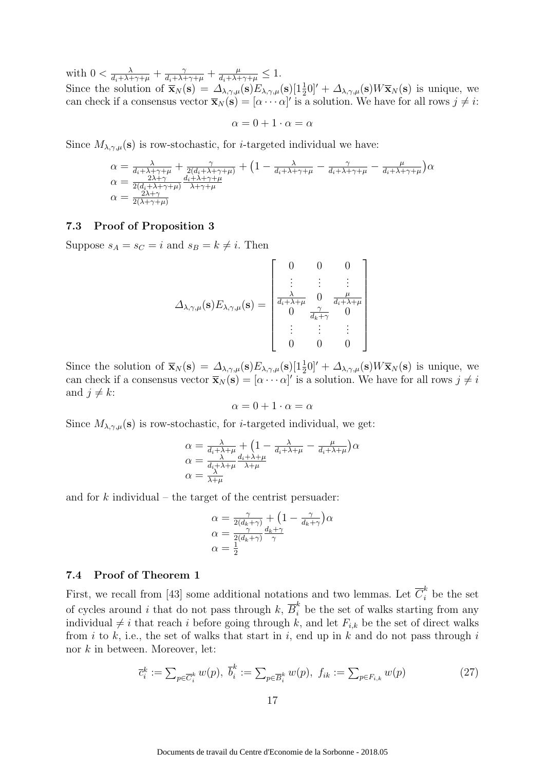with  $0 < \frac{\lambda}{d_i + \lambda + \gamma + \mu} + \frac{\gamma}{d_i + \lambda + \gamma + \mu} + \frac{\mu}{d_i + \lambda + \gamma + \mu} \leq 1$ .

Since the solution of  $\bar{\mathbf{x}}_N(\mathbf{s}) = \Delta_{\lambda,\gamma,\mu}(\mathbf{s}) E_{\lambda,\gamma,\mu}(\mathbf{s}) \left[1\frac{1}{2}0\right]'+\Delta_{\lambda,\gamma,\mu}(\mathbf{s})W\bar{\mathbf{x}}_N(\mathbf{s})$  is unique, we can check if a consensus vector  $\overline{\mathbf{x}}_N(\mathbf{s}) = [\alpha \cdots \alpha]'$  is a solution. We have for all rows  $j \neq i$ :

$$
\alpha = 0 + 1 \cdot \alpha = \alpha
$$

Since  $M_{\lambda,\gamma,\mu}(\mathbf{s})$  is row-stochastic, for *i*-targeted individual we have:

$$
\alpha = \frac{\lambda}{d_i + \lambda + \gamma + \mu} + \frac{\gamma}{2(d_i + \lambda + \gamma + \mu)} + (1 - \frac{\lambda}{d_i + \lambda + \gamma + \mu} - \frac{\gamma}{d_i + \lambda + \gamma + \mu})\alpha
$$
  
\n
$$
\alpha = \frac{\gamma}{2(d_i + \lambda + \gamma + \mu)} \frac{d_i + \lambda + \gamma + \mu}{\lambda + \gamma + \mu}
$$
  
\n
$$
\alpha = \frac{2\lambda + \gamma}{2(\lambda + \gamma + \mu)}
$$

#### 7.3 Proof of Proposition 3

Suppose  $s_A = s_C = i$  and  $s_B = k \neq i$ . Then

$$
\Delta_{\lambda,\gamma,\mu}(\mathbf{s})E_{\lambda,\gamma,\mu}(\mathbf{s}) = \begin{bmatrix} 0 & 0 & 0 \\ \vdots & \vdots & \vdots \\ \frac{\lambda}{d_i + \lambda + \mu} & 0 & \frac{\mu}{d_i + \lambda + \mu} \\ 0 & \frac{\gamma}{d_k + \gamma} & 0 \\ \vdots & \vdots & \vdots \\ 0 & 0 & 0 \end{bmatrix}
$$

Since the solution of  $\bar{\mathbf{x}}_N(\mathbf{s}) = \Delta_{\lambda,\gamma,\mu}(\mathbf{s}) E_{\lambda,\gamma,\mu}(\mathbf{s}) \left[1\frac{1}{2}0\right]'+\Delta_{\lambda,\gamma,\mu}(\mathbf{s})W\bar{\mathbf{x}}_N(\mathbf{s})$  is unique, we can check if a consensus vector  $\bar{\mathbf{x}}_N(\mathbf{s}) = [\alpha \cdots \alpha]'$  is a solution. We have for all rows  $j \neq i$ and  $j \neq k$ :

$$
\alpha=0+1\cdot \alpha=\alpha
$$

Since  $M_{\lambda,\gamma,\mu}(\mathbf{s})$  is row-stochastic, for *i*-targeted individual, we get:

$$
\alpha = \frac{\lambda}{d_i + \lambda + \mu} + \left(1 - \frac{\lambda}{d_i + \lambda + \mu} - \frac{\mu}{d_i + \lambda + \mu}\right)\alpha
$$
  
\n
$$
\alpha = \frac{\lambda}{d_i + \lambda + \mu} \frac{d_i + \lambda + \mu}{\lambda + \mu}
$$
  
\n
$$
\alpha = \frac{\lambda}{\lambda + \mu}
$$

and for  $k$  individual – the target of the centrist persuader:

$$
\alpha = \frac{\gamma}{2(d_k + \gamma)} + (1 - \frac{\gamma}{d_k + \gamma})\alpha
$$
  
\n
$$
\alpha = \frac{\gamma}{2(d_k + \gamma)}\frac{d_k + \gamma}{\gamma}
$$
  
\n
$$
\alpha = \frac{1}{2}
$$

#### 7.4 Proof of Theorem 1

First, we recall from [43] some additional notations and two lemmas. Let  $\overline{C}_i^k$  be the set of cycles around i that do not pass through  $k$ ,  $\overline{B}_i^k$  be the set of walks starting from any individual  $\neq i$  that reach i before going through k, and let  $F_{i,k}$  be the set of direct walks from i to k, i.e., the set of walks that start in i, end up in k and do not pass through i nor k in between. Moreover, let:

$$
\overline{c}_{i}^{k} := \sum_{p \in \overline{C}_{i}^{k}} w(p), \ \overline{b}_{i}^{k} := \sum_{p \in \overline{B}_{i}^{k}} w(p), \ f_{ik} := \sum_{p \in F_{i,k}} w(p) \tag{27}
$$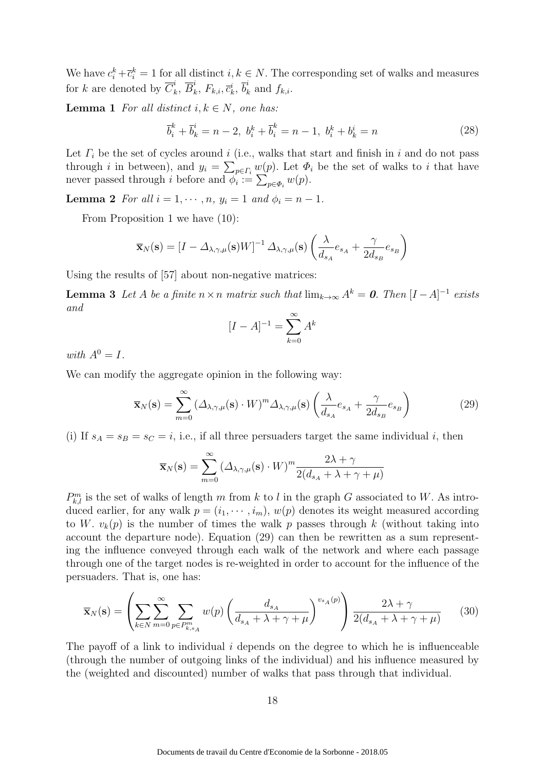We have  $c_i^k + \overline{c}_i^k = 1$  for all distinct  $i, k \in N$ . The corresponding set of walks and measures for k are denoted by  $\overline{C}_k^i$  $\frac{i}{k}, \overline{B}_k^i$  $\frac{i}{k},\ F_{k,i},\overline{c}_{k}^{i},\ \overline{b}_{k}^{i}$  $\int_k$  and  $f_{k,i}$ .

**Lemma 1** For all distinct  $i, k \in N$ , one has:

$$
\overline{b}_i^k + \overline{b}_k^i = n - 2, \ b_i^k + \overline{b}_i^k = n - 1, \ b_i^k + b_k^i = n \tag{28}
$$

Let  $\Gamma_i$  be the set of cycles around i (i.e., walks that start and finish in i and do not pass through *i* in between), and  $y_i = \sum_{p \in \Gamma_i} w(p)$ . Let  $\Phi_i$  be the set of walks to *i* that have never passed through *i* before and  $\phi_i := \sum_{p \in \Phi_i} w(p)$ .

**Lemma 2** For all  $i = 1, \dots, n$ ,  $y_i = 1$  and  $\phi_i = n - 1$ .

From Proposition 1 we have (10):

$$
\overline{\mathbf{x}}_{N}(\mathbf{s}) = \left[I - \Delta_{\lambda,\gamma,\mu}(\mathbf{s})W\right]^{-1} \Delta_{\lambda,\gamma,\mu}(\mathbf{s}) \left(\frac{\lambda}{d_{s_A}}e_{s_A} + \frac{\gamma}{2d_{s_B}}e_{s_B}\right)
$$

Using the results of [57] about non-negative matrices:

**Lemma 3** Let A be a finite  $n \times n$  matrix such that  $\lim_{k \to \infty} A^k = 0$ . Then  $[I - A]^{-1}$  exists and

$$
[I - A]^{-1} = \sum_{k=0}^{\infty} A^k
$$

with  $A^0 = I$ .

We can modify the aggregate opinion in the following way:

$$
\overline{\mathbf{x}}_{N}(\mathbf{s}) = \sum_{m=0}^{\infty} \left( \Delta_{\lambda,\gamma,\mu}(\mathbf{s}) \cdot W \right)^{m} \Delta_{\lambda,\gamma,\mu}(\mathbf{s}) \left( \frac{\lambda}{d_{s_{A}}} e_{s_{A}} + \frac{\gamma}{2d_{s_{B}}} e_{s_{B}} \right)
$$
(29)

(i) If  $s_A = s_B = s_C = i$ , i.e., if all three persuaders target the same individual i, then

$$
\overline{\mathbf{x}}_N(\mathbf{s}) = \sum_{m=0}^{\infty} \left( \Delta_{\lambda,\gamma,\mu}(\mathbf{s}) \cdot W \right)^m \frac{2\lambda + \gamma}{2(d_{s_A} + \lambda + \gamma + \mu)}
$$

 $P_{k,l}^m$  is the set of walks of length m from k to l in the graph G associated to W. As introduced earlier, for any walk  $p = (i_1, \dots, i_m)$ ,  $w(p)$  denotes its weight measured according to W.  $v_k(p)$  is the number of times the walk p passes through k (without taking into account the departure node). Equation (29) can then be rewritten as a sum representing the influence conveyed through each walk of the network and where each passage through one of the target nodes is re-weighted in order to account for the influence of the persuaders. That is, one has:

$$
\overline{\mathbf{x}}_{N}(\mathbf{s}) = \left(\sum_{k \in N} \sum_{m=0}^{\infty} \sum_{p \in P_{k,s_A}^m} w(p) \left(\frac{d_{s_A}}{d_{s_A} + \lambda + \gamma + \mu}\right)^{v_{s_A}(p)}\right) \frac{2\lambda + \gamma}{2(d_{s_A} + \lambda + \gamma + \mu)} \tag{30}
$$

The payoff of a link to individual  $i$  depends on the degree to which he is influenceable (through the number of outgoing links of the individual) and his influence measured by the (weighted and discounted) number of walks that pass through that individual.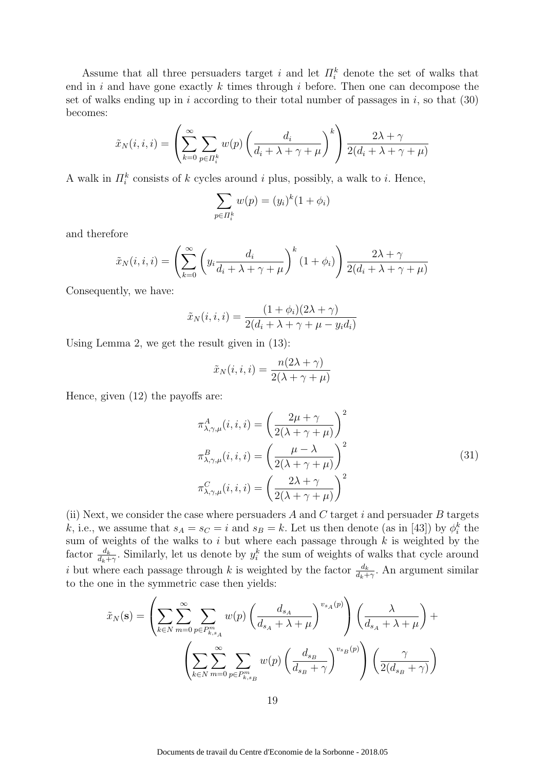Assume that all three persuaders target i and let  $\Pi_i^k$  denote the set of walks that end in  $i$  and have gone exactly  $k$  times through  $i$  before. Then one can decompose the set of walks ending up in i according to their total number of passages in  $i$ , so that  $(30)$ becomes:

$$
\tilde{x}_N(i,i,i) = \left(\sum_{k=0}^{\infty} \sum_{p \in \Pi_i^k} w(p) \left(\frac{d_i}{d_i + \lambda + \gamma + \mu}\right)^k\right) \frac{2\lambda + \gamma}{2(d_i + \lambda + \gamma + \mu)}
$$

A walk in  $\prod_{i=1}^{k}$  consists of k cycles around i plus, possibly, a walk to i. Hence,

$$
\sum_{p \in \Pi_i^k} w(p) = (y_i)^k (1 + \phi_i)
$$

and therefore

$$
\tilde{x}_N(i,i,i) = \left(\sum_{k=0}^{\infty} \left(y_i \frac{d_i}{d_i + \lambda + \gamma + \mu}\right)^k (1 + \phi_i)\right) \frac{2\lambda + \gamma}{2(d_i + \lambda + \gamma + \mu)}
$$

Consequently, we have:

$$
\tilde{x}_N(i, i, i) = \frac{(1 + \phi_i)(2\lambda + \gamma)}{2(d_i + \lambda + \gamma + \mu - y_i d_i)}
$$

Using Lemma 2, we get the result given in (13):

$$
\tilde{x}_N(i, i, i) = \frac{n(2\lambda + \gamma)}{2(\lambda + \gamma + \mu)}
$$

Hence, given (12) the payoffs are:

$$
\pi_{\lambda,\gamma,\mu}^{A}(i,i,i) = \left(\frac{2\mu + \gamma}{2(\lambda + \gamma + \mu)}\right)^{2}
$$

$$
\pi_{\lambda,\gamma,\mu}^{B}(i,i,i) = \left(\frac{\mu - \lambda}{2(\lambda + \gamma + \mu)}\right)^{2}
$$

$$
\pi_{\lambda,\gamma,\mu}^{C}(i,i,i) = \left(\frac{2\lambda + \gamma}{2(\lambda + \gamma + \mu)}\right)^{2}
$$
(31)

(ii) Next, we consider the case where persuaders  $A$  and  $C$  target  $i$  and persuader  $B$  targets k, i.e., we assume that  $s_A = s_C = i$  and  $s_B = k$ . Let us then denote (as in [43]) by  $\phi_i^k$  the sum of weights of the walks to i but where each passage through  $k$  is weighted by the factor  $\frac{d_k}{d_k+\gamma}$ . Similarly, let us denote by  $y_i^k$  the sum of weights of walks that cycle around i but where each passage through k is weighted by the factor  $\frac{d_k}{d_k+\gamma}$ . An argument similar to the one in the symmetric case then yields:

$$
\tilde{x}_N(\mathbf{s}) = \left(\sum_{k \in N} \sum_{m=0}^{\infty} \sum_{p \in P_{k,s_A}^m} w(p) \left(\frac{d_{s_A}}{d_{s_A} + \lambda + \mu}\right)^{v_{s_A}(p)}\right) \left(\frac{\lambda}{d_{s_A} + \lambda + \mu}\right) + \left(\sum_{k \in N} \sum_{m=0}^{\infty} \sum_{p \in P_{k,s_B}^m} w(p) \left(\frac{d_{s_B}}{d_{s_B} + \gamma}\right)^{v_{s_B}(p)}\right) \left(\frac{\gamma}{2(d_{s_B} + \gamma)}\right)
$$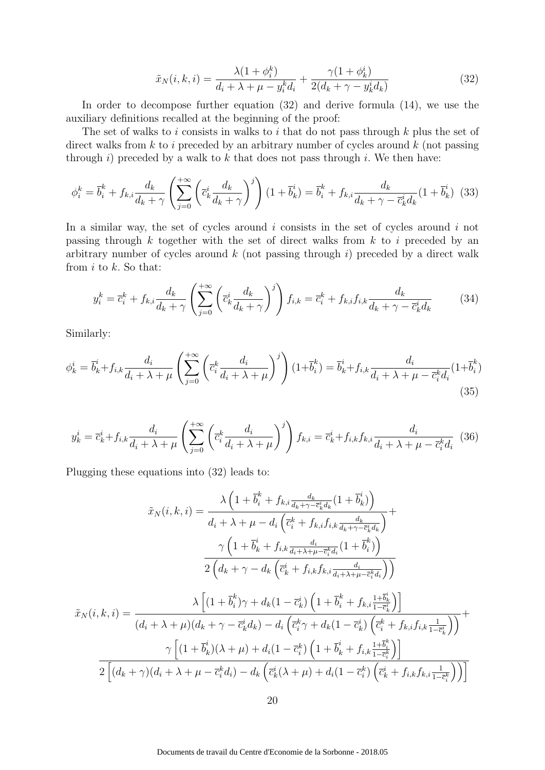$$
\tilde{x}_N(i,k,i) = \frac{\lambda(1+\phi_i^k)}{d_i + \lambda + \mu - y_i^k d_i} + \frac{\gamma(1+\phi_k^i)}{2(d_k + \gamma - y_k^i d_k)}\tag{32}
$$

In order to decompose further equation (32) and derive formula (14), we use the auxiliary definitions recalled at the beginning of the proof:

The set of walks to i consists in walks to i that do not pass through  $k$  plus the set of direct walks from  $k$  to i preceded by an arbitrary number of cycles around  $k$  (not passing through i) preceded by a walk to  $k$  that does not pass through i. We then have:

$$
\phi_i^k = \overline{b}_i^k + f_{k,i} \frac{d_k}{d_k + \gamma} \left( \sum_{j=0}^{+\infty} \left( \overline{c}_k^i \frac{d_k}{d_k + \gamma} \right)^j \right) (1 + \overline{b}_k^i) = \overline{b}_i^k + f_{k,i} \frac{d_k}{d_k + \gamma - \overline{c}_k^i d_k} (1 + \overline{b}_k^i) \tag{33}
$$

In a similar way, the set of cycles around  $i$  consists in the set of cycles around  $i$  not passing through  $k$  together with the set of direct walks from  $k$  to i preceded by an arbitrary number of cycles around  $k$  (not passing through i) preceded by a direct walk from  $i$  to  $k$ . So that:

$$
y_i^k = \overline{c}_i^k + f_{k,i} \frac{d_k}{d_k + \gamma} \left( \sum_{j=0}^{+\infty} \left( \overline{c}_k^i \frac{d_k}{d_k + \gamma} \right)^j \right) f_{i,k} = \overline{c}_i^k + f_{k,i} f_{i,k} \frac{d_k}{d_k + \gamma - \overline{c}_k^i d_k} \tag{34}
$$

Similarly:

$$
\phi_k^i = \overline{b}_k^i + f_{i,k} \frac{d_i}{d_i + \lambda + \mu} \left( \sum_{j=0}^{+\infty} \left( \overline{c}_i^k \frac{d_i}{d_i + \lambda + \mu} \right)^j \right) (1 + \overline{b}_i^k) = \overline{b}_k^i + f_{i,k} \frac{d_i}{d_i + \lambda + \mu - \overline{c}_i^k d_i} (1 + \overline{b}_i^k)
$$
\n(35)

$$
y_k^i = \overline{c}_k^i + f_{i,k} \frac{d_i}{d_i + \lambda + \mu} \left( \sum_{j=0}^{+\infty} \left( \overline{c}_i^k \frac{d_i}{d_i + \lambda + \mu} \right)^j \right) f_{k,i} = \overline{c}_k^i + f_{i,k} f_{k,i} \frac{d_i}{d_i + \lambda + \mu - \overline{c}_i^k d_i} \tag{36}
$$

Plugging these equations into (32) leads to:

$$
\tilde{x}_{N}(i,k,i) = \frac{\lambda \left(1 + \overline{b}_{i}^{k} + f_{k,i} \frac{d_{k}}{d_{k} + \gamma - \overline{c}_{k}^{i} d_{k}}(1 + \overline{b}_{k}^{i})\right)}{d_{i} + \lambda + \mu - d_{i} \left(\overline{c}_{i}^{k} + f_{k,i} f_{i,k} \frac{d_{k}}{d_{k} + \gamma - \overline{c}_{k}^{k} d_{k}}\right)} + \frac{\gamma \left(1 + \overline{b}_{k}^{i} + f_{i,k} \frac{d_{i}}{d_{i} + \lambda + \mu - \overline{c}_{i}^{k} d_{i}}(1 + \overline{b}_{i}^{k})\right)}{2 \left(d_{k} + \gamma - d_{k} \left(\overline{c}_{k}^{i} + f_{i,k} f_{k,i} \frac{d_{i}}{d_{i} + \lambda + \mu - \overline{c}_{i}^{k} d_{i}}\right)\right)}
$$
\n
$$
\tilde{x}_{N}(i,k,i) = \frac{\lambda \left[ (1 + \overline{b}_{i}^{k})\gamma + d_{k} (1 - \overline{c}_{k}^{i}) \left(1 + \overline{b}_{i}^{k} + f_{k,i} \frac{1 + \overline{b}_{k}^{i}}{1 - \overline{c}_{k}^{i}}\right)\right]}{(d_{i} + \lambda + \mu)(d_{k} + \gamma - \overline{c}_{k}^{i} d_{k}) - d_{i} \left(\overline{c}_{i}^{k} \gamma + d_{k} (1 - \overline{c}_{k}^{i}) \left(\overline{c}_{i}^{k} + f_{k,i} f_{i,k} \frac{1}{1 - \overline{c}_{k}^{i}}\right)\right)} + \frac{\gamma \left[ (1 + \overline{b}_{k}^{i})\lambda + \mu \right] + d_{i} (1 - \overline{c}_{i}^{k}) \left(1 + \overline{b}_{k}^{i} + f_{i,k} \frac{1 + \overline{b}_{i}^{k}}{1 - \overline{c}_{i}^{k}}\right)\right]}{2 \left[ (d_{k} + \gamma)(d_{i} + \lambda + \mu - \overline{c}_{i}^{k} d_{i}) - d_{k} \left(\overline{c}_{k}^{i}(\lambda + \mu) + d_{i} (1 - \overline{c}_{i}^{k}) \left(\overline{c}_{k}^{i} +
$$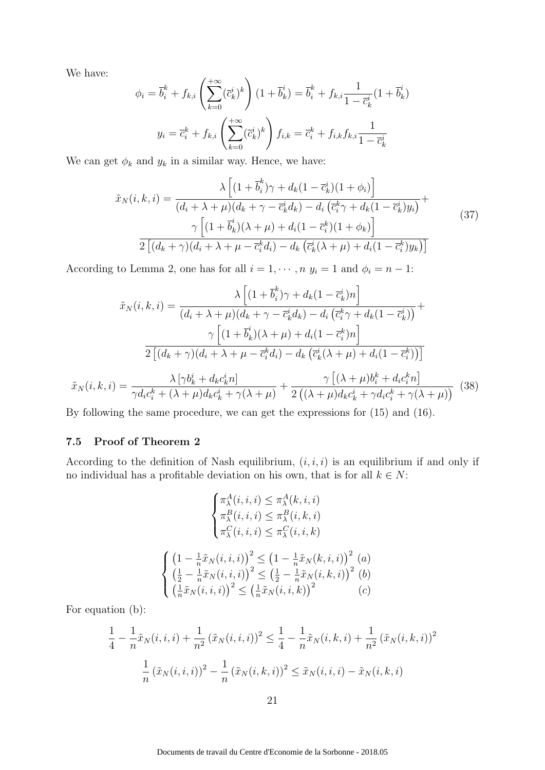We have:

$$
\phi_i = \overline{b}_i^k + f_{k,i} \left( \sum_{k=0}^{+\infty} (\overline{c}_k^i)^k \right) (1 + \overline{b}_k^i) = \overline{b}_i^k + f_{k,i} \frac{1}{1 - \overline{c}_k^i} (1 + \overline{b}_k^i)
$$

$$
y_i = \overline{c}_i^k + f_{k,i} \left( \sum_{k=0}^{+\infty} (\overline{c}_k^i)^k \right) f_{i,k} = \overline{c}_i^k + f_{i,k} f_{k,i} \frac{1}{1 - \overline{c}_k^i}
$$

We can get  $\phi_k$  and  $y_k$  in a similar way. Hence, we have:

$$
\tilde{x}_{N}(i,k,i) = \frac{\lambda \left[ (1 + \overline{b}_{i}^{k})\gamma + d_{k}(1 - \overline{c}_{k}^{i})(1 + \phi_{i}) \right]}{(d_{i} + \lambda + \mu)(d_{k} + \gamma - \overline{c}_{k}^{i}d_{k}) - d_{i}(\overline{c}_{i}^{k}\gamma + d_{k}(1 - \overline{c}_{k}^{i})y_{i})} + \frac{\gamma \left[ (1 + \overline{b}_{k}^{i})(\lambda + \mu) + d_{i}(1 - \overline{c}_{i}^{k})(1 + \phi_{k}) \right]}{2\left[ (d_{k} + \gamma)(d_{i} + \lambda + \mu - \overline{c}_{i}^{k}d_{i}) - d_{k}(\overline{c}_{k}^{i}(\lambda + \mu) + d_{i}(1 - \overline{c}_{i}^{k})y_{k}) \right]}
$$
\n(37)

According to Lemma 2, one has for all  $i = 1, \dots, n$   $y_i = 1$  and  $\phi_i = n - 1$ :

$$
\tilde{x}_N(i,k,i) = \frac{\lambda \left[ (1 + \overline{b}_i^k) \gamma + d_k (1 - \overline{c}_k^i) n \right]}{(d_i + \lambda + \mu)(d_k + \gamma - \overline{c}_k^i d_k) - d_i \left( \overline{c}_i^k \gamma + d_k (1 - \overline{c}_k^i) \right)} + \frac{\gamma \left[ (1 + \overline{b}_k^i)(\lambda + \mu) + d_i (1 - \overline{c}_k^k) n \right]}{2 \left[ (d_k + \gamma)(d_i + \lambda + \mu - \overline{c}_i^k d_i) - d_k \left( \overline{c}_k^i(\lambda + \mu) + d_i (1 - \overline{c}_i^k) \right) \right]}
$$
\n
$$
\tilde{x}_N(i,k,i) = \frac{\lambda \left[ \gamma b_k^i + d_k c_k^i n \right]}{\gamma d_i c_i^k + (\lambda + \mu) d_k c_k^i + \gamma(\lambda + \mu)} + \frac{\gamma \left[ (\lambda + \mu) b_i^k + d_i c_i^k n \right]}{2 \left( (\lambda + \mu) d_k c_k^i + \gamma d_i c_i^k + \gamma(\lambda + \mu) \right)} \tag{38}
$$

By following the same procedure, we can get the expressions for (15) and (16).

#### 7.5 Proof of Theorem 2

According to the definition of Nash equilibrium,  $(i, i, i)$  is an equilibrium if and only if no individual has a profitable deviation on his own, that is for all  $k \in N$ :

$$
\begin{cases}\n\pi_{\lambda}^{A}(i, i, i) \leq \pi_{\lambda}^{A}(k, i, i) \\
\pi_{\lambda}^{B}(i, i, i) \leq \pi_{\lambda}^{B}(i, k, i) \\
\pi_{\lambda}^{C}(i, i, i) \leq \pi_{\lambda}^{C}(i, i, k)\n\end{cases}
$$
\n
$$
\begin{cases}\n(1 - \frac{1}{n}\tilde{x}_{N}(i, i, i))^{2} \leq (1 - \frac{1}{n}\tilde{x}_{N}(k, i, i))^{2} (a) \\
(\frac{1}{2} - \frac{1}{n}\tilde{x}_{N}(i, i, i))^{2} \leq (\frac{1}{2} - \frac{1}{n}\tilde{x}_{N}(i, k, i))^{2} (b) \\
(\frac{1}{n}\tilde{x}_{N}(i, i, i))^{2} \leq (\frac{1}{n}\tilde{x}_{N}(i, i, k))^{2}\n\end{cases}
$$

For equation (b):

$$
\frac{1}{4} - \frac{1}{n}\tilde{x}_N(i, i, i) + \frac{1}{n^2} (\tilde{x}_N(i, i, i))^2 \le \frac{1}{4} - \frac{1}{n}\tilde{x}_N(i, k, i) + \frac{1}{n^2} (\tilde{x}_N(i, k, i))^2
$$

$$
\frac{1}{n} (\tilde{x}_N(i, i, i))^2 - \frac{1}{n} (\tilde{x}_N(i, k, i))^2 \le \tilde{x}_N(i, i, i) - \tilde{x}_N(i, k, i)
$$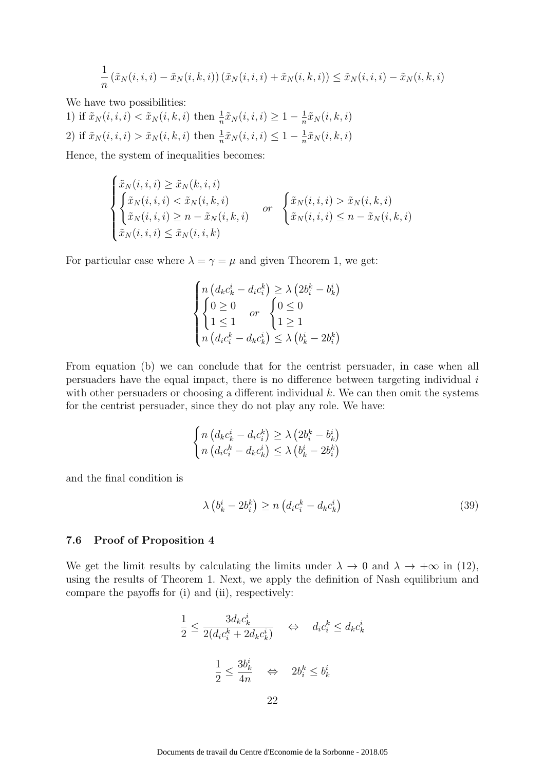$$
\frac{1}{n} \left( \tilde{x}_N(i, i, i) - \tilde{x}_N(i, k, i) \right) \left( \tilde{x}_N(i, i, i) + \tilde{x}_N(i, k, i) \right) \leq \tilde{x}_N(i, i, i) - \tilde{x}_N(i, k, i)
$$

We have two possibilities:

1) if  $\tilde{x}_N(i, i, i) < \tilde{x}_N(i, k, i)$  then  $\frac{1}{n} \tilde{x}_N(i, i, i) \geq 1 - \frac{1}{n}$  $\frac{1}{n}\tilde{x}_N(i,k,i)$ 2) if  $\tilde{x}_N(i, i, i) > \tilde{x}_N(i, k, i)$  then  $\frac{1}{n} \tilde{x}_N(i, i, i) \leq 1 - \frac{1}{n}$  $\frac{1}{n}\tilde{x}_N(i,k,i)$ 

Hence, the system of inequalities becomes:

$$
\begin{cases} \tilde{x}_N(i,i,i) \geq \tilde{x}_N(k,i,i) \\ \tilde{x}_N(i,i,i) < \tilde{x}_N(i,k,i) \\ \tilde{x}_N(i,i,i) \geq n - \tilde{x}_N(i,k,i) \end{cases} \quad \text{or} \quad \begin{cases} \tilde{x}_N(i,i,i) > \tilde{x}_N(i,k,i) \\ \tilde{x}_N(i,i,i) \leq n - \tilde{x}_N(i,k,i) \end{cases}
$$

For particular case where  $\lambda = \gamma = \mu$  and given Theorem 1, we get:

$$
\begin{cases}\nn \left(d_k c_k^i - d_i c_i^k\right) \geq \lambda \left(2 b_i^k - b_k^i\right) \\
\begin{cases}\n0 \geq 0 & or \\
1 \leq 1 & \text{if } 1 \geq 1 \\
n \left(d_i c_i^k - d_k c_k^i\right) \leq \lambda \left(b_k^i - 2 b_i^k\right)\n\end{cases}\n\end{cases}
$$

From equation (b) we can conclude that for the centrist persuader, in case when all persuaders have the equal impact, there is no difference between targeting individual  $i$ with other persuaders or choosing a different individual  $k$ . We can then omit the systems for the centrist persuader, since they do not play any role. We have:

$$
\begin{cases} n\left(d_k c_k^i - d_i c_i^k\right) \ge \lambda \left(2 b_i^k - b_k^i\right) \\ n\left(d_i c_i^k - d_k c_k^i\right) \le \lambda \left(b_k^i - 2 b_i^k\right) \end{cases}
$$

and the final condition is

$$
\lambda \left( b_k^i - 2b_i^k \right) \ge n \left( d_i c_i^k - d_k c_k^i \right) \tag{39}
$$

#### 7.6 Proof of Proposition 4

We get the limit results by calculating the limits under  $\lambda \to 0$  and  $\lambda \to +\infty$  in (12), using the results of Theorem 1. Next, we apply the definition of Nash equilibrium and compare the payoffs for (i) and (ii), respectively:

$$
\frac{1}{2} \le \frac{3d_k c_k^i}{2(d_i c_i^k + 2d_k c_k^i)} \quad \Leftrightarrow \quad d_i c_i^k \le d_k c_k^i
$$
\n
$$
\frac{1}{2} \le \frac{3b_k^i}{4n} \quad \Leftrightarrow \quad 2b_i^k \le b_k^i
$$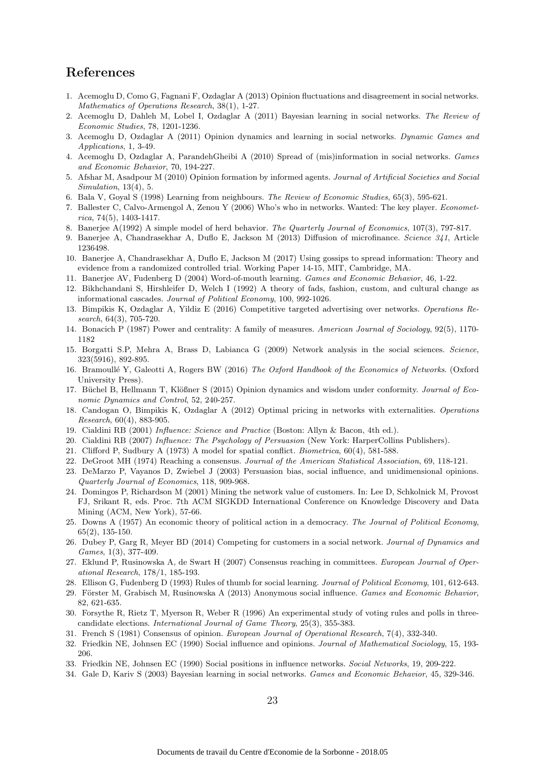## References

- 1. Acemoglu D, Como G, Fagnani F, Ozdaglar A (2013) Opinion fluctuations and disagreement in social networks. Mathematics of Operations Research, 38(1), 1-27.
- 2. Acemoglu D, Dahleh M, Lobel I, Ozdaglar A (2011) Bayesian learning in social networks. The Review of Economic Studies, 78, 1201-1236.
- 3. Acemoglu D, Ozdaglar A (2011) Opinion dynamics and learning in social networks. Dynamic Games and Applications, 1, 3-49.
- 4. Acemoglu D, Ozdaglar A, ParandehGheibi A (2010) Spread of (mis)information in social networks. Games and Economic Behavior, 70, 194-227.
- 5. Afshar M, Asadpour M (2010) Opinion formation by informed agents. Journal of Artificial Societies and Social Simulation, 13(4), 5.
- 6. Bala V, Goyal S (1998) Learning from neighbours. The Review of Economic Studies, 65(3), 595-621.
- 7. Ballester C, Calvo-Armengol A, Zenou Y (2006) Who's who in networks. Wanted: The key player. Econometrica, 74 $(5)$ , 1403-1417.
- 8. Banerjee A(1992) A simple model of herd behavior. The Quarterly Journal of Economics, 107(3), 797-817.
- 9. Banerjee A, Chandrasekhar A, Duflo E, Jackson M (2013) Diffusion of microfinance. Science 341, Article 1236498.
- 10. Banerjee A, Chandrasekhar A, Duflo E, Jackson M (2017) Using gossips to spread information: Theory and evidence from a randomized controlled trial. Working Paper 14-15, MIT, Cambridge, MA.
- 11. Banerjee AV, Fudenberg D (2004) Word-of-mouth learning. Games and Economic Behavior, 46, 1-22.
- 12. Bikhchandani S, Hirshleifer D, Welch I (1992) A theory of fads, fashion, custom, and cultural change as informational cascades. Journal of Political Economy, 100, 992-1026.
- 13. Bimpikis K, Ozdaglar A, Yildiz E (2016) Competitive targeted advertising over networks. Operations Research, 64(3), 705-720.
- 14. Bonacich P (1987) Power and centrality: A family of measures. American Journal of Sociology, 92(5), 1170- 1182
- 15. Borgatti S.P, Mehra A, Brass D, Labianca G (2009) Network analysis in the social sciences. Science, 323(5916), 892-895.
- 16. Bramoullé Y, Galeotti A, Rogers BW (2016) The Oxford Handbook of the Economics of Networks. (Oxford University Press).
- 17. Büchel B, Hellmann T, Klößner S (2015) Opinion dynamics and wisdom under conformity. Journal of Economic Dynamics and Control, 52, 240-257.
- 18. Candogan O, Bimpikis K, Ozdaglar A (2012) Optimal pricing in networks with externalities. Operations Research, 60(4), 883-905.
- 19. Cialdini RB (2001) Influence: Science and Practice (Boston: Allyn & Bacon, 4th ed.).
- 20. Cialdini RB (2007) Influence: The Psychology of Persuasion (New York: HarperCollins Publishers).
- 21. Clifford P, Sudbury A (1973) A model for spatial conflict. Biometrica, 60(4), 581-588.
- 22. DeGroot MH (1974) Reaching a consensus. Journal of the American Statistical Association, 69, 118-121.
- 23. DeMarzo P, Vayanos D, Zwiebel J (2003) Persuasion bias, social influence, and unidimensional opinions. Quarterly Journal of Economics, 118, 909-968.
- 24. Domingos P, Richardson M (2001) Mining the network value of customers. In: Lee D, Schkolnick M, Provost FJ, Srikant R, eds. Proc. 7th ACM SIGKDD International Conference on Knowledge Discovery and Data Mining (ACM, New York), 57-66.
- 25. Downs A (1957) An economic theory of political action in a democracy. The Journal of Political Economy, 65(2), 135-150.
- 26. Dubey P, Garg R, Meyer BD (2014) Competing for customers in a social network. Journal of Dynamics and Games, 1(3), 377-409.
- 27. Eklund P, Rusinowska A, de Swart H (2007) Consensus reaching in committees. European Journal of Operational Research, 178/1, 185-193.
- 28. Ellison G, Fudenberg D (1993) Rules of thumb for social learning. Journal of Political Economy, 101, 612-643.
- 29. Förster M, Grabisch M, Rusinowska A (2013) Anonymous social influence. Games and Economic Behavior, 82, 621-635.
- 30. Forsythe R, Rietz T, Myerson R, Weber R (1996) An experimental study of voting rules and polls in threecandidate elections. International Journal of Game Theory, 25(3), 355-383.
- 31. French S (1981) Consensus of opinion. European Journal of Operational Research, 7(4), 332-340.
- 32. Friedkin NE, Johnsen EC (1990) Social influence and opinions. Journal of Mathematical Sociology, 15, 193- 206.
- 33. Friedkin NE, Johnsen EC (1990) Social positions in influence networks. Social Networks, 19, 209-222.
- 34. Gale D, Kariv S (2003) Bayesian learning in social networks. Games and Economic Behavior, 45, 329-346.